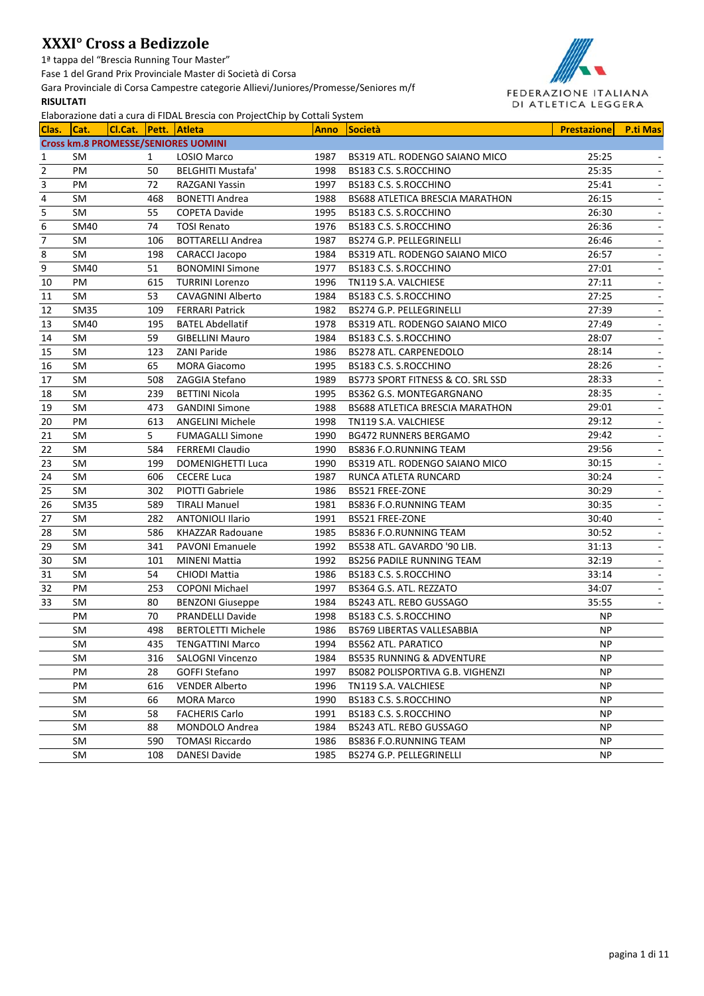1ª tappa del "Brescia Running Tour Master"

Fase 1 del Grand Prix Provinciale Master di Società di Corsa

Gara Provinciale di Corsa Campestre categorie Allievi/Juniores/Promesse/Seniores m/f **RISULTATI**



| Clas.          |                                            |     | Liaborazione dati a cui a un none brescia con Frojectemp by Cottan System |             |                                        |                    |                          |
|----------------|--------------------------------------------|-----|---------------------------------------------------------------------------|-------------|----------------------------------------|--------------------|--------------------------|
|                | Cat.                                       |     | CI.Cat. Pett. Atleta                                                      | <b>Anno</b> | <b>Società</b>                         | <b>Prestazione</b> | <b>P.ti Mas</b>          |
|                | <b>Cross km.8 PROMESSE/SENIORES UOMINI</b> |     |                                                                           |             |                                        |                    |                          |
| 1              | SM                                         | 1   | LOSIO Marco                                                               | 1987        | BS319 ATL. RODENGO SAIANO MICO         | 25:25              |                          |
| $\overline{2}$ | PM                                         | 50  | <b>BELGHITI Mustafa'</b>                                                  | 1998        | BS183 C.S. S.ROCCHINO                  | 25:35              |                          |
| 3              | PM                                         | 72  | RAZGANI Yassin                                                            | 1997        | BS183 C.S. S.ROCCHINO                  | 25:41              | $\overline{\phantom{a}}$ |
| 4              | SM                                         | 468 | <b>BONETTI Andrea</b>                                                     | 1988        | <b>BS688 ATLETICA BRESCIA MARATHON</b> | 26:15              | $\blacksquare$           |
| 5              | SM                                         | 55  | <b>COPETA Davide</b>                                                      | 1995        | BS183 C.S. S.ROCCHINO                  | 26:30              | $\overline{\phantom{a}}$ |
| 6              | SM40                                       | 74  | <b>TOSI Renato</b>                                                        | 1976        | BS183 C.S. S.ROCCHINO                  | 26:36              | $\overline{\phantom{a}}$ |
| $\overline{7}$ | SM                                         | 106 | <b>BOTTARELLI Andrea</b>                                                  | 1987        | BS274 G.P. PELLEGRINELLI               | 26:46              | $\overline{\phantom{a}}$ |
| 8              | SM                                         | 198 | <b>CARACCI Jacopo</b>                                                     | 1984        | BS319 ATL. RODENGO SAIANO MICO         | 26:57              | $\overline{\phantom{a}}$ |
| 9              | SM40                                       | 51  | <b>BONOMINI Simone</b>                                                    | 1977        | BS183 C.S. S.ROCCHINO                  | 27:01              | $\overline{\phantom{a}}$ |
| 10             | PM                                         | 615 | <b>TURRINI Lorenzo</b>                                                    | 1996        | TN119 S.A. VALCHIESE                   | 27:11              | $\overline{\phantom{a}}$ |
| 11             | SM                                         | 53  | CAVAGNINI Alberto                                                         | 1984        | BS183 C.S. S.ROCCHINO                  | 27:25              | $\overline{\phantom{a}}$ |
| 12             | <b>SM35</b>                                | 109 | <b>FERRARI Patrick</b>                                                    | 1982        | BS274 G.P. PELLEGRINELLI               | 27:39              | $\overline{\phantom{a}}$ |
| 13             | SM40                                       | 195 | <b>BATEL Abdellatif</b>                                                   | 1978        | BS319 ATL. RODENGO SAIANO MICO         | 27:49              |                          |
| 14             | SM                                         | 59  | <b>GIBELLINI Mauro</b>                                                    | 1984        | BS183 C.S. S.ROCCHINO                  | 28:07              |                          |
| 15             | SM                                         | 123 | <b>ZANI Paride</b>                                                        | 1986        | <b>BS278 ATL. CARPENEDOLO</b>          | 28:14              |                          |
| 16             | SM                                         | 65  | <b>MORA Giacomo</b>                                                       | 1995        | BS183 C.S. S.ROCCHINO                  | 28:26              | ÷,                       |
| 17             | SM                                         | 508 | ZAGGIA Stefano                                                            | 1989        | BS773 SPORT FITNESS & CO. SRL SSD      | 28:33              |                          |
| 18             | SM                                         | 239 | <b>BETTINI Nicola</b>                                                     | 1995        | BS362 G.S. MONTEGARGNANO               | 28:35              |                          |
| 19             | <b>SM</b>                                  | 473 | <b>GANDINI Simone</b>                                                     | 1988        | BS688 ATLETICA BRESCIA MARATHON        | 29:01              |                          |
| 20             | PM                                         | 613 | <b>ANGELINI Michele</b>                                                   | 1998        | TN119 S.A. VALCHIESE                   | 29:12              |                          |
| 21             | SM                                         | 5   | <b>FUMAGALLI Simone</b>                                                   | 1990        | BG472 RUNNERS BERGAMO                  | 29:42              |                          |
| 22             | SM                                         | 584 | <b>FERREMI Claudio</b>                                                    | 1990        | <b>BS836 F.O.RUNNING TEAM</b>          | 29:56              |                          |
| 23             | SM                                         | 199 | <b>DOMENIGHETTI Luca</b>                                                  | 1990        | BS319 ATL. RODENGO SAIANO MICO         | 30:15              |                          |
| 24             | SM                                         | 606 | <b>CECERE Luca</b>                                                        | 1987        | RUNCA ATLETA RUNCARD                   | 30:24              |                          |
| 25             | SM                                         | 302 | <b>PIOTTI Gabriele</b>                                                    | 1986        | BS521 FREE-ZONE                        | 30:29              |                          |
| 26             | <b>SM35</b>                                | 589 | <b>TIRALI Manuel</b>                                                      | 1981        | BS836 F.O.RUNNING TEAM                 | 30:35              |                          |
| 27             | SM                                         | 282 | <b>ANTONIOLI Ilario</b>                                                   | 1991        | BS521 FREE-ZONE                        | 30:40              |                          |
| 28             | SM                                         | 586 | KHAZZAR Radouane                                                          | 1985        | <b>BS836 F.O.RUNNING TEAM</b>          | 30:52              | $\overline{\phantom{a}}$ |
| 29             | SM                                         | 341 | <b>PAVONI Emanuele</b>                                                    | 1992        | BS538 ATL. GAVARDO '90 LIB.            | 31:13              | $\overline{\phantom{a}}$ |
| 30             | SM                                         | 101 | <b>MINENI Mattia</b>                                                      | 1992        | <b>BS256 PADILE RUNNING TEAM</b>       | 32:19              | $\sim$                   |
| 31             | SM                                         | 54  | <b>CHIODI Mattia</b>                                                      | 1986        | BS183 C.S. S.ROCCHINO                  | 33:14              | $\overline{\phantom{a}}$ |
| 32             | PM                                         | 253 | <b>COPONI Michael</b>                                                     | 1997        | BS364 G.S. ATL. REZZATO                | 34:07              |                          |
| 33             | SM                                         | 80  | <b>BENZONI Giuseppe</b>                                                   | 1984        | BS243 ATL. REBO GUSSAGO                | 35:55              |                          |
|                | PM                                         | 70  | <b>PRANDELLI Davide</b>                                                   | 1998        | BS183 C.S. S.ROCCHINO                  | NP                 |                          |
|                | SM                                         | 498 | <b>BERTOLETTI Michele</b>                                                 | 1986        | <b>BS769 LIBERTAS VALLESABBIA</b>      | <b>NP</b>          |                          |
|                | SM                                         | 435 | <b>TENGATTINI Marco</b>                                                   | 1994        | <b>BS562 ATL. PARATICO</b>             | NP                 |                          |
|                | SM                                         | 316 | <b>SALOGNI Vincenzo</b>                                                   | 1984        | <b>BS535 RUNNING &amp; ADVENTURE</b>   | NP.                |                          |
|                | PM                                         | 28  | <b>GOFFI Stefano</b>                                                      | 1997        | BS082 POLISPORTIVA G.B. VIGHENZI       | ΝP                 |                          |
|                | PM                                         | 616 | <b>VENDER Alberto</b>                                                     | 1996        | TN119 S.A. VALCHIESE                   | ΝP                 |                          |
|                | SM                                         | 66  | <b>MORA Marco</b>                                                         | 1990        | BS183 C.S. S.ROCCHINO                  | NP                 |                          |
|                | SM                                         | 58  | <b>FACHERIS Carlo</b>                                                     | 1991        | BS183 C.S. S.ROCCHINO                  | NP                 |                          |
|                | SM                                         | 88  | MONDOLO Andrea                                                            | 1984        | BS243 ATL. REBO GUSSAGO                | ΝP                 |                          |
|                | SM                                         | 590 | <b>TOMASI Riccardo</b>                                                    | 1986        | BS836 F.O.RUNNING TEAM                 | ΝP                 |                          |
|                | SM                                         | 108 | <b>DANESI Davide</b>                                                      | 1985        | <b>BS274 G.P. PELLEGRINELLI</b>        | ΝP                 |                          |
|                |                                            |     |                                                                           |             |                                        |                    |                          |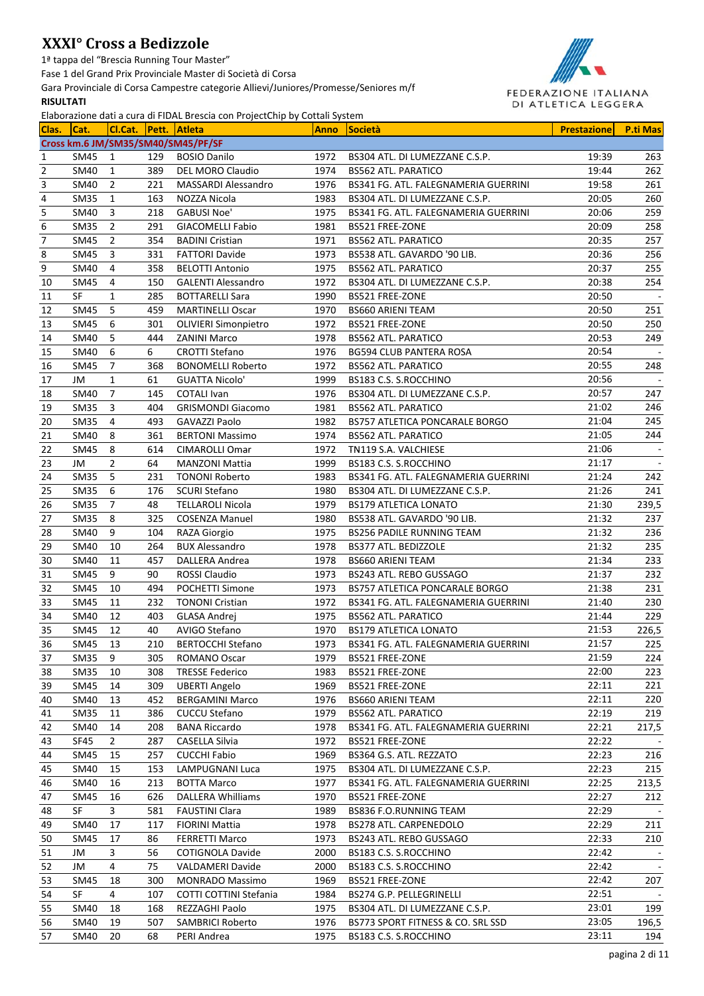1ª tappa del "Brescia Running Tour Master"

Fase 1 del Grand Prix Provinciale Master di Società di Corsa

Gara Provinciale di Corsa Campestre categorie Allievi/Juniores/Promesse/Seniores m/f **RISULTATI**



|                          |                  |                |     | Liaborazione dati a cara di FibAL brescia con Frojectemp by cottan Jystem |      |                                                                        |                    |                 |
|--------------------------|------------------|----------------|-----|---------------------------------------------------------------------------|------|------------------------------------------------------------------------|--------------------|-----------------|
| Clas.                    | ICat.            |                |     | CI.Cat. Pett. Atleta                                                      | Anno | <b>Società</b>                                                         | <b>Prestazione</b> | <b>P.ti Mas</b> |
|                          |                  |                |     | Cross km.6 JM/SM35/SM40/SM45/PF/SF                                        |      |                                                                        |                    |                 |
| 1                        | SM45             | 1              | 129 | <b>BOSIO Danilo</b>                                                       | 1972 | BS304 ATL. DI LUMEZZANE C.S.P.                                         | 19:39              | 263             |
| $\overline{2}$           | <b>SM40</b>      | 1              | 389 | DEL MORO Claudio                                                          | 1974 | <b>BS562 ATL. PARATICO</b>                                             | 19:44              | 262             |
| 3                        | <b>SM40</b>      | $\overline{2}$ | 221 | <b>MASSARDI Alessandro</b>                                                | 1976 | BS341 FG. ATL. FALEGNAMERIA GUERRINI                                   | 19:58              | 261             |
| 4                        | <b>SM35</b>      | 1              | 163 | NOZZA Nicola                                                              | 1983 | BS304 ATL. DI LUMEZZANE C.S.P.                                         | 20:05              | 260             |
| 5                        | SM40             | 3              | 218 | <b>GABUSI Noe'</b>                                                        | 1975 | BS341 FG. ATL. FALEGNAMERIA GUERRINI                                   | 20:06              | 259             |
| 6                        | SM <sub>35</sub> | 2              | 291 | <b>GIACOMELLI Fabio</b>                                                   | 1981 | BS521 FREE-ZONE                                                        | 20:09              | 258             |
| $\overline{\phantom{a}}$ | SM45             | 2              | 354 | <b>BADINI Cristian</b>                                                    | 1971 | <b>BS562 ATL. PARATICO</b>                                             | 20:35              | 257             |
| 8                        | SM45             | 3              | 331 | <b>FATTORI Davide</b>                                                     | 1973 | BS538 ATL. GAVARDO '90 LIB.                                            | 20:36              | 256             |
| 9                        | SM40             | 4              | 358 | <b>BELOTTI Antonio</b>                                                    | 1975 | <b>BS562 ATL. PARATICO</b>                                             | 20:37              | 255             |
| 10                       | <b>SM45</b>      | 4              | 150 | <b>GALENTI Alessandro</b>                                                 | 1972 | BS304 ATL. DI LUMEZZANE C.S.P.                                         | 20:38              | 254             |
| 11                       | SF               | 1              | 285 | <b>BOTTARELLI Sara</b>                                                    | 1990 | BS521 FREE-ZONE                                                        | 20:50              |                 |
| 12                       | SM45             | 5              | 459 | <b>MARTINELLI Oscar</b>                                                   | 1970 | <b>BS660 ARIENI TEAM</b>                                               | 20:50              | 251             |
| 13                       | <b>SM45</b>      | 6              | 301 | <b>OLIVIERI Simonpietro</b>                                               | 1972 | BS521 FREE-ZONE                                                        | 20:50              | 250             |
| 14                       | SM40             | 5              | 444 | <b>ZANINI Marco</b>                                                       | 1978 | <b>BS562 ATL. PARATICO</b>                                             | 20:53              | 249             |
| 15                       | SM40             | 6              | 6   | <b>CROTTI Stefano</b>                                                     | 1976 | BG594 CLUB PANTERA ROSA                                                | 20:54              |                 |
| 16                       | SM45             | $\overline{7}$ | 368 | <b>BONOMELLI Roberto</b>                                                  | 1972 | <b>BS562 ATL. PARATICO</b>                                             | 20:55              | 248             |
| 17                       | JM               | 1              | 61  | <b>GUATTA Nicolo'</b>                                                     | 1999 | BS183 C.S. S.ROCCHINO                                                  | 20:56              |                 |
| 18                       | SM40             | 7              | 145 | <b>COTALI Ivan</b>                                                        | 1976 | BS304 ATL. DI LUMEZZANE C.S.P.                                         | 20:57              | 247             |
| 19                       | <b>SM35</b>      | 3              | 404 | <b>GRISMONDI Giacomo</b>                                                  | 1981 | <b>BS562 ATL. PARATICO</b>                                             | 21:02              | 246             |
| 20                       | <b>SM35</b>      | 4              | 493 | GAVAZZI Paolo                                                             | 1982 | BS757 ATLETICA PONCARALE BORGO                                         | 21:04              | 245             |
| 21                       | SM40             | 8              | 361 | <b>BERTONI Massimo</b>                                                    | 1974 | <b>BS562 ATL. PARATICO</b>                                             | 21:05              | 244             |
| 22                       | SM45             | 8              | 614 | <b>CIMAROLLI Omar</b>                                                     | 1972 | TN119 S.A. VALCHIESE                                                   | 21:06              |                 |
| 23                       | JM               | $\overline{2}$ | 64  | <b>MANZONI Mattia</b>                                                     | 1999 | BS183 C.S. S.ROCCHINO                                                  | 21:17              |                 |
| 24                       | <b>SM35</b>      | 5              | 231 | <b>TONONI Roberto</b>                                                     | 1983 | BS341 FG. ATL. FALEGNAMERIA GUERRINI                                   | 21:24              | 242             |
| 25                       | <b>SM35</b>      | 6              | 176 | <b>SCURI Stefano</b>                                                      | 1980 | BS304 ATL. DI LUMEZZANE C.S.P.                                         | 21:26              | 241             |
| 26                       | <b>SM35</b>      | 7              | 48  | <b>TELLAROLI Nicola</b>                                                   | 1979 | <b>BS179 ATLETICA LONATO</b>                                           | 21:30              | 239,5           |
| 27                       | <b>SM35</b>      | 8              | 325 | <b>COSENZA Manuel</b>                                                     | 1980 | BS538 ATL. GAVARDO '90 LIB.                                            | 21:32              | 237             |
| 28                       | SM40             | 9              | 104 | RAZA Giorgio                                                              | 1975 | <b>BS256 PADILE RUNNING TEAM</b>                                       | 21:32              | 236             |
| 29                       | SM40             | 10             | 264 | <b>BUX Alessandro</b>                                                     | 1978 | BS377 ATL. BEDIZZOLE                                                   | 21:32              | 235             |
| 30                       | SM40             | 11             | 457 | DALLERA Andrea                                                            | 1978 | <b>BS660 ARIENI TEAM</b>                                               | 21:34              | 233             |
| 31                       | SM45             | 9              | 90  | <b>ROSSI Claudio</b>                                                      | 1973 | <b>BS243 ATL, REBO GUSSAGO</b>                                         | 21:37              | 232             |
| 32                       | SM45             | 10             | 494 | POCHETTI Simone                                                           | 1973 | BS757 ATLETICA PONCARALE BORGO                                         | 21:38              | 231             |
| 33                       | <b>SM45</b>      | 11             | 232 | <b>TONONI Cristian</b>                                                    | 1972 | BS341 FG. ATL. FALEGNAMERIA GUERRINI                                   | 21:40              | 230             |
| 34                       | <b>SM40</b>      | 12             | 403 | <b>GLASA Andrej</b>                                                       | 1975 | <b>BS562 ATL. PARATICO</b>                                             | 21:44              | 229             |
| 35                       | <b>SM45</b>      | 12             | 40  | AVIGO Stefano                                                             | 1970 | <b>BS179 ATLETICA LONATO</b>                                           | 21:53              | 226,5           |
| 36                       | SM45             | 13             | 210 | <b>BERTOCCHI Stefano</b>                                                  | 1973 | BS341 FG. ATL. FALEGNAMERIA GUERRINI                                   | 21:57              | 225             |
| 37                       | SM <sub>35</sub> | 9              | 305 | ROMANO Oscar                                                              | 1979 | BS521 FREE-ZONE                                                        | 21:59              | 224             |
| 38                       | <b>SM35</b>      | 10             | 308 | <b>TRESSE Federico</b>                                                    | 1983 | BS521 FREE-ZONE                                                        | 22:00              | 223             |
| 39                       | <b>SM45</b>      | 14             | 309 | <b>UBERTI Angelo</b>                                                      | 1969 | BS521 FREE-ZONE                                                        | 22:11              | 221             |
| 40                       | <b>SM40</b>      | 13             | 452 | <b>BERGAMINI Marco</b>                                                    | 1976 | <b>BS660 ARIENI TEAM</b>                                               | 22:11              | 220             |
| 41                       | <b>SM35</b>      | 11             | 386 | <b>CUCCU Stefano</b>                                                      | 1979 | <b>BS562 ATL. PARATICO</b>                                             | 22:19              | 219             |
| 42                       | SM40             | 14             | 208 | <b>BANA Riccardo</b>                                                      | 1978 | BS341 FG. ATL. FALEGNAMERIA GUERRINI                                   | 22:21              | 217,5           |
| 43                       | <b>SF45</b>      | $\overline{2}$ | 287 | CASELLA Silvia                                                            | 1972 | BS521 FREE-ZONE                                                        | 22:22              |                 |
| 44                       | <b>SM45</b>      | 15             | 257 | <b>CUCCHI Fabio</b>                                                       | 1969 | BS364 G.S. ATL. REZZATO                                                | 22:23              | 216             |
|                          |                  |                |     |                                                                           |      |                                                                        | 22:23              | 215             |
| 45                       | <b>SM40</b>      | 15             | 153 | <b>LAMPUGNANI Luca</b>                                                    | 1975 | BS304 ATL. DI LUMEZZANE C.S.P.<br>BS341 FG. ATL. FALEGNAMERIA GUERRINI | 22:25              |                 |
| 46                       | <b>SM40</b>      | 16             | 213 | <b>BOTTA Marco</b>                                                        | 1977 | BS521 FREE-ZONE                                                        |                    | 213,5           |
| 47                       | <b>SM45</b>      | 16             | 626 | <b>DALLERA Whilliams</b>                                                  | 1970 |                                                                        | 22:27              | 212             |
| 48                       | SF               | 3              | 581 | <b>FAUSTINI Clara</b>                                                     | 1989 | BS836 F.O.RUNNING TEAM                                                 | 22:29              |                 |
| 49                       | <b>SM40</b>      | 17             | 117 | <b>FIORINI Mattia</b>                                                     | 1978 | BS278 ATL. CARPENEDOLO                                                 | 22:29              | 211             |
| 50                       | SM45             | 17             | 86  | <b>FERRETTI Marco</b>                                                     | 1973 | BS243 ATL. REBO GUSSAGO                                                | 22:33              | 210             |
| 51                       | JM               | 3              | 56  | <b>COTIGNOLA Davide</b>                                                   | 2000 | BS183 C.S. S.ROCCHINO                                                  | 22:42              |                 |
| 52                       | JM               | 4              | 75  | <b>VALDAMERI Davide</b>                                                   | 2000 | BS183 C.S. S.ROCCHINO                                                  | 22:42              |                 |
| 53                       | <b>SM45</b>      | 18             | 300 | <b>MONRADO Massimo</b>                                                    | 1969 | BS521 FREE-ZONE                                                        | 22:42              | 207             |
| 54                       | SF               | $\overline{4}$ | 107 | COTTI COTTINI Stefania                                                    | 1984 | BS274 G.P. PELLEGRINELLI                                               | 22:51              |                 |
| 55                       | SM40             | 18             | 168 | REZZAGHI Paolo                                                            | 1975 | BS304 ATL. DI LUMEZZANE C.S.P.                                         | 23:01              | 199             |
| 56                       | <b>SM40</b>      | 19             | 507 | <b>SAMBRICI Roberto</b>                                                   | 1976 | BS773 SPORT FITNESS & CO. SRL SSD                                      | 23:05              | 196,5           |
| 57                       | <b>SM40</b>      | 20             | 68  | PERI Andrea                                                               | 1975 | BS183 C.S. S.ROCCHINO                                                  | 23:11              | 194             |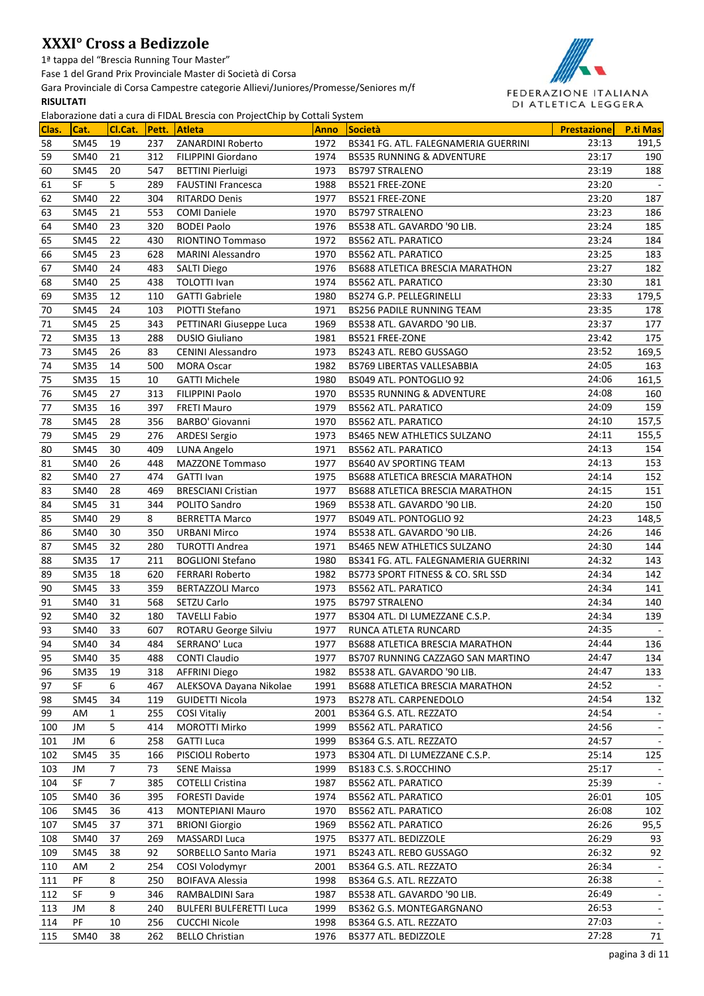1ª tappa del "Brescia Running Tour Master"

Fase 1 del Grand Prix Provinciale Master di Società di Corsa

Gara Provinciale di Corsa Campestre categorie Allievi/Juniores/Promesse/Seniores m/f

### **RISULTATI**



| Clas.    | Cat.                     | Cl.Cat.        | Pett.      | Atleta                               | <b>Anno</b>  | Società                                               | <b>Prestazione</b> | <b>P.ti Mas</b>          |
|----------|--------------------------|----------------|------------|--------------------------------------|--------------|-------------------------------------------------------|--------------------|--------------------------|
| 58       | SM45                     | 19             | 237        | ZANARDINI Roberto                    | 1972         | BS341 FG. ATL. FALEGNAMERIA GUERRINI                  | 23:13              | 191,5                    |
| 59       | <b>SM40</b>              | 21             | 312        | FILIPPINI Giordano                   | 1974         | <b>BS535 RUNNING &amp; ADVENTURE</b>                  | 23:17              | 190                      |
| 60       | <b>SM45</b>              | 20             | 547        | <b>BETTINI Pierluigi</b>             | 1973         | <b>BS797 STRALENO</b>                                 | 23:19              | 188                      |
| 61       | <b>SF</b>                | 5.             | 289        | <b>FAUSTINI Francesca</b>            | 1988         | BS521 FREE-ZONE                                       | 23:20              |                          |
| 62       | SM40                     | 22             | 304        | <b>RITARDO Denis</b>                 | 1977         | BS521 FREE-ZONE                                       | 23:20              | 187                      |
| 63       | SM45                     | 21             | 553        | <b>COMI Daniele</b>                  | 1970         | <b>BS797 STRALENO</b>                                 | 23:23              | 186                      |
| 64       | SM40                     | 23             | 320        | <b>BODEI Paolo</b>                   | 1976         | BS538 ATL. GAVARDO '90 LIB.                           | 23:24              | 185                      |
| 65       | <b>SM45</b>              | 22             | 430        | <b>RIONTINO Tommaso</b>              | 1972         | <b>BS562 ATL. PARATICO</b>                            | 23:24              | 184                      |
| 66       | <b>SM45</b>              | 23             | 628        | <b>MARINI Alessandro</b>             | 1970         | <b>BS562 ATL. PARATICO</b>                            | 23:25              | 183                      |
| 67       | <b>SM40</b>              | 24             | 483        | <b>SALTI Diego</b>                   | 1976         | BS688 ATLETICA BRESCIA MARATHON                       | 23:27              | 182                      |
| 68       | <b>SM40</b>              | 25             | 438        | <b>TOLOTTI Ivan</b>                  | 1974         | <b>BS562 ATL. PARATICO</b>                            | 23:30              | 181                      |
| 69       | <b>SM35</b>              | 12             | 110        | <b>GATTI Gabriele</b>                | 1980         | BS274 G.P. PELLEGRINELLI                              | 23:33              | 179,5                    |
| 70       | SM45                     | 24             | 103        | PIOTTI Stefano                       | 1971         | <b>BS256 PADILE RUNNING TEAM</b>                      | 23:35              | 178                      |
| 71       | <b>SM45</b>              | 25             | 343        | PETTINARI Giuseppe Luca              | 1969         | BS538 ATL. GAVARDO '90 LIB.                           | 23:37              | 177                      |
| 72       | <b>SM35</b>              | 13             | 288        | <b>DUSIO Giuliano</b>                | 1981         | BS521 FREE-ZONE                                       | 23:42              | 175                      |
| 73       | <b>SM45</b>              | 26             | 83         | <b>CENINI Alessandro</b>             | 1973         | BS243 ATL. REBO GUSSAGO                               | 23:52              | 169,5                    |
| 74       | <b>SM35</b>              | 14             | 500        | <b>MORA Oscar</b>                    | 1982         | BS769 LIBERTAS VALLESABBIA                            | 24:05              | 163                      |
| 75       | <b>SM35</b>              | 15             | 10         | <b>GATTI Michele</b>                 | 1980         | BS049 ATL. PONTOGLIO 92                               | 24:06              | 161,5                    |
| 76       | <b>SM45</b>              | 27             | 313        | <b>FILIPPINI Paolo</b>               | 1970         | <b>BS535 RUNNING &amp; ADVENTURE</b>                  | 24:08              | 160                      |
| 77       | <b>SM35</b>              | 16             | 397        | <b>FRETI Mauro</b>                   | 1979         | <b>BS562 ATL. PARATICO</b>                            | 24:09              | 159                      |
| 78       | <b>SM45</b>              | 28             | 356        | <b>BARBO' Giovanni</b>               | 1970         | <b>BS562 ATL. PARATICO</b>                            | 24:10              | 157,5                    |
| 79       | <b>SM45</b>              | 29             | 276        | <b>ARDESI Sergio</b>                 | 1973         | <b>BS465 NEW ATHLETICS SULZANO</b>                    | 24:11              | 155,5                    |
| 80       | <b>SM45</b>              | 30             | 409        | LUNA Angelo                          | 1971         | <b>BS562 ATL. PARATICO</b>                            | 24:13              | 154                      |
| 81       | <b>SM40</b>              | 26             | 448        | <b>MAZZONE Tommaso</b>               | 1977         | BS640 AV SPORTING TEAM                                | 24:13              | 153                      |
| 82       | SM40                     | 27             | 474        | <b>GATTI Ivan</b>                    | 1975         | BS688 ATLETICA BRESCIA MARATHON                       | 24:14              | 152                      |
| 83       | SM40                     | 28             | 469        | <b>BRESCIANI Cristian</b>            | 1977         | BS688 ATLETICA BRESCIA MARATHON                       | 24:15              | 151                      |
| 84       | <b>SM45</b>              | 31             | 344        | POLITO Sandro                        | 1969         | BS538 ATL. GAVARDO '90 LIB.                           | 24:20              | 150                      |
| 85       | SM40                     | 29             | 8          | <b>BERRETTA Marco</b>                | 1977         | BS049 ATL. PONTOGLIO 92                               | 24:23              | 148,5                    |
| 86       | SM40                     | 30             | 350        | <b>URBANI Mirco</b>                  | 1974         | BS538 ATL. GAVARDO '90 LIB.                           | 24:26              | 146                      |
| 87       | <b>SM45</b>              | 32             | 280        | <b>TUROTTI Andrea</b>                | 1971         | <b>BS465 NEW ATHLETICS SULZANO</b>                    | 24:30              | 144                      |
| 88       | <b>SM35</b>              | 17             | 211        | <b>BOGLIONI Stefano</b>              | 1980         | BS341 FG. ATL. FALEGNAMERIA GUERRINI                  | 24:32              | 143                      |
| 89       | <b>SM35</b>              | 18             | 620        | <b>FERRARI Roberto</b>               | 1982         | BS773 SPORT FITNESS & CO. SRL SSD                     | 24:34              | 142                      |
| 90       | <b>SM45</b>              | 33             | 359        | <b>BERTAZZOLI Marco</b>              | 1973         | <b>BS562 ATL. PARATICO</b>                            | 24:34              | 141                      |
| 91       | SM40                     | 31             | 568        | SETZU Carlo                          | 1975         | <b>BS797 STRALENO</b>                                 | 24:34              | 140                      |
| 92       | <b>SM40</b>              | 32             | 180        | <b>TAVELLI Fabio</b>                 | 1977         | BS304 ATL. DI LUMEZZANE C.S.P.                        | 24:34              | 139                      |
| 93       | <b>SM40</b>              | 33             | 607        | ROTARU George Silviu                 | 1977         | RUNCA ATLETA RUNCARD                                  | 24:35              |                          |
| 94       | SM40                     | 34             | 484        | SERRANO' Luca                        | 1977         | BS688 ATLETICA BRESCIA MARATHON                       | 24:44              | 136                      |
| 95       | <b>SM40</b>              | 35             | 488        | <b>CONTI Claudio</b>                 | 1977         | BS707 RUNNING CAZZAGO SAN MARTINO                     | 24:47              | 134                      |
| 96       | <b>SM35</b><br><b>SF</b> | 19             | 318        | <b>AFFRINI Diego</b>                 | 1982         | BS538 ATL. GAVARDO '90 LIB.                           | 24:47<br>24:52     | 133                      |
| 97       |                          | 6              | 467        | ALEKSOVA Dayana Nikolae              | 1991         | BS688 ATLETICA BRESCIA MARATHON                       | 24:54              | 132                      |
| 98<br>99 | <b>SM45</b><br>AM        | 34<br>1        | 119<br>255 | <b>GUIDETTI Nicola</b>               | 1973<br>2001 | BS278 ATL. CARPENEDOLO                                | 24:54              |                          |
| 100      | JM                       | 5              | 414        | <b>COSI Vitaliy</b><br>MOROTTI Mirko | 1999         | BS364 G.S. ATL. REZZATO<br><b>BS562 ATL. PARATICO</b> | 24:56              |                          |
| 101      | JM                       | 6              | 258        | <b>GATTI Luca</b>                    | 1999         | BS364 G.S. ATL. REZZATO                               | 24:57              |                          |
| 102      | SM45                     | 35             | 166        | PISCIOLI Roberto                     | 1973         | BS304 ATL. DI LUMEZZANE C.S.P.                        | 25:14              | 125                      |
| 103      | JM                       | $\overline{7}$ | 73         | <b>SENE Maissa</b>                   | 1999         | BS183 C.S. S.ROCCHINO                                 | 25:17              |                          |
| 104      | <b>SF</b>                | $\overline{7}$ | 385        | <b>COTELLI Cristina</b>              | 1987         | <b>BS562 ATL. PARATICO</b>                            | 25:39              |                          |
| 105      | SM40                     | 36             | 395        | <b>FORESTI Davide</b>                | 1974         | BS562 ATL. PARATICO                                   | 26:01              | 105                      |
| 106      | <b>SM45</b>              | 36             | 413        | <b>MONTEPIANI Mauro</b>              | 1970         | <b>BS562 ATL. PARATICO</b>                            | 26:08              | 102                      |
| 107      | <b>SM45</b>              | 37             | 371        | <b>BRIONI Giorgio</b>                | 1969         | <b>BS562 ATL. PARATICO</b>                            | 26:26              | 95,5                     |
| 108      | <b>SM40</b>              | 37             | 269        | <b>MASSARDI Luca</b>                 | 1975         | BS377 ATL. BEDIZZOLE                                  | 26:29              | 93                       |
| 109      | SM45                     | 38             | 92         | <b>SORBELLO Santo Maria</b>          | 1971         | BS243 ATL. REBO GUSSAGO                               | 26:32              | 92                       |
| 110      | AM                       | 2              | 254        | COSI Volodymyr                       | 2001         | BS364 G.S. ATL. REZZATO                               | 26:34              |                          |
| 111      | PF                       | 8              | 250        | <b>BOIFAVA Alessia</b>               | 1998         | BS364 G.S. ATL. REZZATO                               | 26:38              |                          |
| 112      | SF                       | 9              | 346        | RAMBALDINI Sara                      | 1987         | BS538 ATL. GAVARDO '90 LIB.                           | 26:49              | $\overline{\phantom{a}}$ |
| 113      | JM                       | 8              | 240        | <b>BULFERI BULFERETTI Luca</b>       | 1999         | BS362 G.S. MONTEGARGNANO                              | 26:53              |                          |
| 114      | PF                       | 10             | 256        | <b>CUCCHI Nicole</b>                 | 1998         | BS364 G.S. ATL. REZZATO                               | 27:03              |                          |
| 115      | <b>SM40</b>              | 38             | 262        | <b>BELLO Christian</b>               | 1976         | BS377 ATL. BEDIZZOLE                                  | 27:28              | 71                       |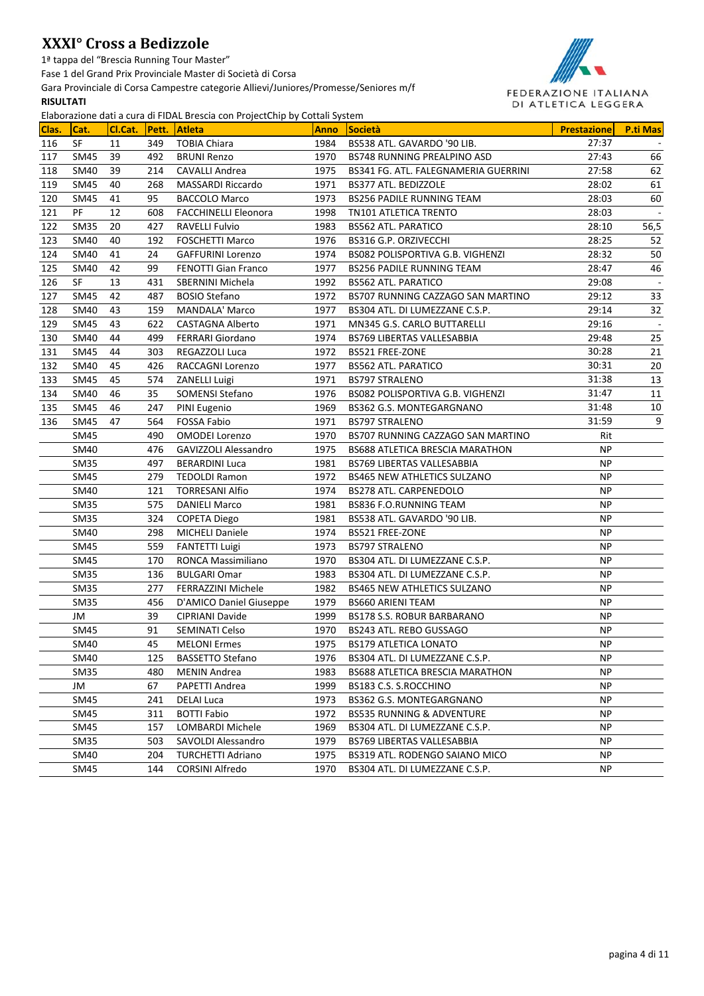1ª tappa del "Brescia Running Tour Master"

Fase 1 del Grand Prix Provinciale Master di Società di Corsa

Gara Provinciale di Corsa Campestre categorie Allievi/Juniores/Promesse/Seniores m/f

#### **RISULTATI**



|       |                  |         |           | Elaborazione dati a cura di FiDAL Brescia con Projectonip by Cottali System |              |                                                       |                        |                 |
|-------|------------------|---------|-----------|-----------------------------------------------------------------------------|--------------|-------------------------------------------------------|------------------------|-----------------|
| Clas. | Cat.             | Cl.Cat. | Pett.     | <b>Atleta</b>                                                               | <b>Anno</b>  | <b>Società</b>                                        | <b>Prestazione</b>     | <b>P.ti Mas</b> |
| 116   | SF               | 11      | 349       | <b>TOBIA Chiara</b>                                                         | 1984         | BS538 ATL. GAVARDO '90 LIB.                           | 27:37                  |                 |
| 117   | SM45             | 39      | 492       | <b>BRUNI Renzo</b>                                                          | 1970         | BS748 RUNNING PREALPINO ASD                           | 27:43                  | 66              |
| 118   | SM40             | 39      | 214       | CAVALLI Andrea                                                              | 1975         | BS341 FG. ATL. FALEGNAMERIA GUERRINI                  | 27:58                  | 62              |
| 119   | SM45             | 40      | 268       | <b>MASSARDI Riccardo</b>                                                    | 1971         | BS377 ATL. BEDIZZOLE                                  | 28:02                  | 61              |
| 120   | SM45             | 41      | 95        | <b>BACCOLO Marco</b>                                                        | 1973         | <b>BS256 PADILE RUNNING TEAM</b>                      | 28:03                  | 60              |
| 121   | PF               | 12      | 608       | <b>FACCHINELLI Eleonora</b>                                                 | 1998         | TN101 ATLETICA TRENTO                                 | 28:03                  |                 |
| 122   | <b>SM35</b>      | 20      | 427       | RAVELLI Fulvio                                                              | 1983         | <b>BS562 ATL. PARATICO</b>                            | 28:10                  | 56,5            |
| 123   | SM40             | 40      | 192       | <b>FOSCHETTI Marco</b>                                                      | 1976         | BS316 G.P. ORZIVECCHI                                 | 28:25                  | 52              |
| 124   | SM40             | 41      | 24        | <b>GAFFURINI Lorenzo</b>                                                    | 1974         | BS082 POLISPORTIVA G.B. VIGHENZI                      | 28:32<br>28:47         | 50              |
| 125   | SM40             | 42      | 99        | <b>FENOTTI Gian Franco</b>                                                  | 1977         | <b>BS256 PADILE RUNNING TEAM</b>                      |                        | 46              |
| 126   | <b>SF</b>        | 13      | 431       | <b>SBERNINI Michela</b>                                                     | 1992         | <b>BS562 ATL, PARATICO</b>                            | 29:08                  |                 |
| 127   | SM45             | 42      | 487       | <b>BOSIO Stefano</b>                                                        | 1972         | BS707 RUNNING CAZZAGO SAN MARTINO                     | 29:12                  | 33              |
| 128   | SM40             | 43      | 159       | <b>MANDALA' Marco</b>                                                       | 1977         | BS304 ATL. DI LUMEZZANE C.S.P.                        | 29:14                  | 32              |
| 129   | <b>SM45</b>      | 43      | 622       | <b>CASTAGNA Alberto</b>                                                     | 1971         | MN345 G.S. CARLO BUTTARELLI                           | 29:16                  | $\sim$          |
| 130   | <b>SM40</b>      | 44      | 499       | FERRARI Giordano                                                            | 1974         | BS769 LIBERTAS VALLESABBIA                            | 29:48                  | 25              |
| 131   | SM45             | 44      | 303       | <b>REGAZZOLI Luca</b>                                                       | 1972         | BS521 FREE-ZONE                                       | 30:28                  | 21              |
| 132   | SM40             | 45      | 426       | RACCAGNI Lorenzo                                                            | 1977         | <b>BS562 ATL. PARATICO</b>                            | 30:31                  | 20              |
| 133   | SM45             | 45      | 574       | <b>ZANELLI Luigi</b>                                                        | 1971         | <b>BS797 STRALENO</b>                                 | 31:38                  | 13              |
| 134   | SM40             | 46      | 35        | SOMENSI Stefano                                                             | 1976         | BS082 POLISPORTIVA G.B. VIGHENZI                      | 31:47                  | 11              |
| 135   | SM45             | 46      | 247       | PINI Eugenio                                                                | 1969         | BS362 G.S. MONTEGARGNANO                              | 31:48                  | 10              |
| 136   | SM45             | 47      | 564       | <b>FOSSA Fabio</b>                                                          | 1971         | <b>BS797 STRALENO</b>                                 | 31:59                  | 9               |
|       | <b>SM45</b>      |         | 490       | <b>OMODEI Lorenzo</b>                                                       | 1970         | BS707 RUNNING CAZZAGO SAN MARTINO                     | Rit                    |                 |
|       | <b>SM40</b>      |         | 476       | <b>GAVIZZOLI Alessandro</b>                                                 | 1975         | BS688 ATLETICA BRESCIA MARATHON                       | <b>NP</b>              |                 |
|       | <b>SM35</b>      |         | 497       | <b>BERARDINI Luca</b>                                                       | 1981         | <b>BS769 LIBERTAS VALLESABBIA</b>                     | <b>NP</b>              |                 |
|       | <b>SM45</b>      |         | 279       | <b>TEDOLDI Ramon</b>                                                        | 1972         | <b>BS465 NEW ATHLETICS SULZANO</b>                    | <b>NP</b>              |                 |
|       | <b>SM40</b>      |         | 121       | <b>TORRESANI Alfio</b>                                                      | 1974         | BS278 ATL. CARPENEDOLO                                | <b>NP</b>              |                 |
|       | <b>SM35</b>      |         | 575       | <b>DANIELI Marco</b>                                                        | 1981         | <b>BS836 F.O.RUNNING TEAM</b>                         | <b>NP</b>              |                 |
|       | <b>SM35</b>      |         | 324       | <b>COPETA Diego</b>                                                         | 1981         | BS538 ATL. GAVARDO '90 LIB.                           | <b>NP</b>              |                 |
|       | <b>SM40</b>      |         | 298       | <b>MICHELI Daniele</b>                                                      | 1974         | BS521 FREE-ZONE                                       | <b>NP</b>              |                 |
|       | <b>SM45</b>      |         | 559       | <b>FANTETTI Luigi</b>                                                       | 1973         | <b>BS797 STRALENO</b>                                 | <b>NP</b>              |                 |
|       | <b>SM45</b>      |         | 170       | RONCA Massimiliano                                                          | 1970         | BS304 ATL. DI LUMEZZANE C.S.P.                        | <b>NP</b>              |                 |
|       | <b>SM35</b>      |         | 136       | <b>BULGARI Omar</b><br><b>FERRAZZINI Michele</b>                            | 1983         | BS304 ATL. DI LUMEZZANE C.S.P.                        | <b>NP</b>              |                 |
|       | <b>SM35</b>      |         | 277       | D'AMICO Daniel Giuseppe                                                     | 1982         | <b>BS465 NEW ATHLETICS SULZANO</b>                    | <b>NP</b><br><b>NP</b> |                 |
|       | <b>SM35</b>      |         | 456<br>39 |                                                                             | 1979<br>1999 | <b>BS660 ARIENI TEAM</b>                              | <b>NP</b>              |                 |
|       | JM               |         | 91        | CIPRIANI Davide<br><b>SEMINATI Celso</b>                                    | 1970         | BS178 S.S. ROBUR BARBARANO<br>BS243 ATL. REBO GUSSAGO | <b>NP</b>              |                 |
|       | SM45             |         | 45        | <b>MELONI Ermes</b>                                                         |              | <b>BS179 ATLETICA LONATO</b>                          | <b>NP</b>              |                 |
|       | SM40             |         |           |                                                                             | 1975         |                                                       |                        |                 |
|       | SM40             |         | 125       | <b>BASSETTO Stefano</b>                                                     | 1976<br>1983 | BS304 ATL. DI LUMEZZANE C.S.P.                        | NP.<br>NP.             |                 |
|       | SM <sub>35</sub> |         | 480       | MENIN Andrea                                                                |              | BS688 ATLETICA BRESCIA MARATHON                       |                        |                 |
|       | JM               |         | 67        | PAPETTI Andrea                                                              | 1999         | BS183 C.S. S.ROCCHINO                                 | NP.                    |                 |
|       | SM45             |         | 241       | <b>DELAI Luca</b>                                                           | 1973         | BS362 G.S. MONTEGARGNANO                              | NP.                    |                 |
|       | SM45             |         | 311       | <b>BOTTI Fabio</b>                                                          | 1972         | BS535 RUNNING & ADVENTURE                             | NP.                    |                 |
|       | SM45             |         | 157       | LOMBARDI Michele                                                            | 1969         | BS304 ATL. DI LUMEZZANE C.S.P.                        | NP.                    |                 |
|       | SM35             |         | 503       | SAVOLDI Alessandro                                                          | 1979         | BS769 LIBERTAS VALLESABBIA                            | NP.                    |                 |
|       | SM40             |         | 204       | <b>TURCHETTI Adriano</b>                                                    | 1975         | BS319 ATL. RODENGO SAIANO MICO                        | NP.                    |                 |
|       | SM45             |         | 144       | CORSINI Alfredo                                                             | 1970         | BS304 ATL. DI LUMEZZANE C.S.P.                        | NP.                    |                 |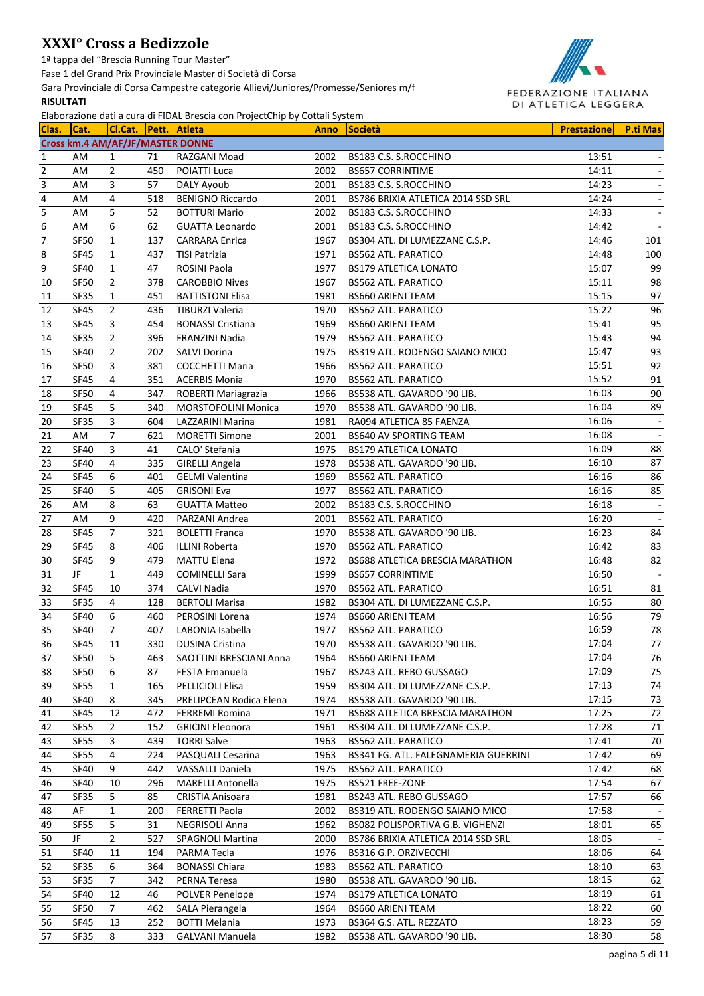1ª tappa del "Brescia Running Tour Master"

Fase 1 del Grand Prix Provinciale Master di Società di Corsa

Gara Provinciale di Corsa Campestre categorie Allievi/Juniores/Promesse/Seniores m/f **RISULTATI**



| Clas.          | Cat.                       |                | Cl.Cat.                          | Liaborazione dati a cui a un none brescia con Frojectemp by Cottan System<br>Pett. Atleta | <b>Anno</b> | <b>Società</b>                       | <b>Prestazione</b> | <b>P.ti Mas</b> |
|----------------|----------------------------|----------------|----------------------------------|-------------------------------------------------------------------------------------------|-------------|--------------------------------------|--------------------|-----------------|
|                |                            |                | Cross km.4 AM/AF/JF/MASTER DONNE |                                                                                           |             |                                      |                    |                 |
| 1              | AM                         | 1              | 71                               | RAZGANI Moad                                                                              | 2002        | BS183 C.S. S.ROCCHINO                | 13:51              |                 |
| $\overline{2}$ | AM                         | $\overline{2}$ | 450                              | POIATTI Luca                                                                              | 2002        | <b>BS657 CORRINTIME</b>              | 14:11              |                 |
| 3              | AM                         | 3              | 57                               | DALY Ayoub                                                                                | 2001        | BS183 C.S. S.ROCCHINO                | 14:23              |                 |
| 4              | AM                         | 4              | 518                              | <b>BENIGNO Riccardo</b>                                                                   | 2001        | BS786 BRIXIA ATLETICA 2014 SSD SRL   | 14:24              |                 |
| 5              | AM                         | 5              | 52                               | <b>BOTTURI Mario</b>                                                                      | 2002        | BS183 C.S. S.ROCCHINO                | 14:33              |                 |
| 6              | AM                         | 6              | 62                               | <b>GUATTA Leonardo</b>                                                                    | 2001        | BS183 C.S. S.ROCCHINO                | 14:42              |                 |
| $\overline{7}$ |                            |                |                                  |                                                                                           | 1967        |                                      | 14:46              | 101             |
|                | <b>SF50</b><br><b>SF45</b> | 1              | 137                              | <b>CARRARA Enrica</b>                                                                     | 1971        | BS304 ATL. DI LUMEZZANE C.S.P.       | 14:48              | 100             |
| 8<br>9         |                            | 1              | 437                              | <b>TISI Patrizia</b>                                                                      |             | <b>BS562 ATL. PARATICO</b>           |                    |                 |
|                | <b>SF40</b>                | 1              | 47                               | ROSINI Paola                                                                              | 1977        | <b>BS179 ATLETICA LONATO</b>         | 15:07              | 99              |
| 10             | SF50                       | $\overline{2}$ | 378                              | <b>CAROBBIO Nives</b>                                                                     | 1967        | <b>BS562 ATL. PARATICO</b>           | 15:11              | 98              |
| 11             | SF35                       | 1              | 451                              | <b>BATTISTONI Elisa</b>                                                                   | 1981        | <b>BS660 ARIENI TEAM</b>             | 15:15              | 97              |
| 12             | SF45                       | $\overline{2}$ | 436                              | <b>TIBURZI Valeria</b>                                                                    | 1970        | <b>BS562 ATL. PARATICO</b>           | 15:22<br>15:41     | 96              |
| 13             | <b>SF45</b>                | 3              | 454                              | <b>BONASSI Cristiana</b>                                                                  | 1969        | <b>BS660 ARIENI TEAM</b>             |                    | 95              |
| 14             | SF35                       | $\overline{2}$ | 396                              | FRANZINI Nadia                                                                            | 1979        | <b>BS562 ATL. PARATICO</b>           | 15:43              | 94              |
| 15             | <b>SF40</b>                | $\overline{2}$ | 202                              | SALVI Dorina                                                                              | 1975        | BS319 ATL. RODENGO SAIANO MICO       | 15:47              | 93              |
| 16             | SF50                       | 3              | 381                              | <b>COCCHETTI Maria</b>                                                                    | 1966        | <b>BS562 ATL. PARATICO</b>           | 15:51              | 92              |
| 17             | <b>SF45</b>                | 4              | 351                              | <b>ACERBIS Monia</b>                                                                      | 1970        | <b>BS562 ATL. PARATICO</b>           | 15:52              | 91              |
| 18             | SF50                       | 4              | 347                              | ROBERTI Mariagrazia                                                                       | 1966        | BS538 ATL. GAVARDO '90 LIB.          | 16:03              | 90              |
| 19             | <b>SF45</b>                | 5              | 340                              | MORSTOFOLINI Monica                                                                       | 1970        | BS538 ATL. GAVARDO '90 LIB.          | 16:04              | 89              |
| 20             | <b>SF35</b>                | 3              | 604                              | LAZZARINI Marina                                                                          | 1981        | RA094 ATLETICA 85 FAENZA             | 16:06              |                 |
| 21             | AM                         | 7              | 621                              | <b>MORETTI Simone</b>                                                                     | 2001        | <b>BS640 AV SPORTING TEAM</b>        | 16:08              |                 |
| 22             | <b>SF40</b>                | 3              | 41                               | CALO' Stefania                                                                            | 1975        | <b>BS179 ATLETICA LONATO</b>         | 16:09              | 88              |
| 23             | <b>SF40</b>                | 4              | 335                              | <b>GIRELLI Angela</b>                                                                     | 1978        | BS538 ATL. GAVARDO '90 LIB.          | 16:10              | 87              |
| 24             | <b>SF45</b>                | 6              | 401                              | <b>GELMI Valentina</b>                                                                    | 1969        | <b>BS562 ATL. PARATICO</b>           | 16:16              | 86              |
| 25             | <b>SF40</b>                | 5              | 405                              | <b>GRISONI Eva</b>                                                                        | 1977        | <b>BS562 ATL. PARATICO</b>           | 16:16              | 85              |
| 26             | AM                         | 8              | 63                               | <b>GUATTA Matteo</b>                                                                      | 2002        | BS183 C.S. S.ROCCHINO                | 16:18              | $\sim$          |
| 27             | AM                         | 9              | 420                              | PARZANI Andrea                                                                            | 2001        | <b>BS562 ATL. PARATICO</b>           | 16:20              |                 |
| 28             | <b>SF45</b>                | 7              | 321                              | <b>BOLETTI Franca</b>                                                                     | 1970        | BS538 ATL. GAVARDO '90 LIB.          | 16:23              | 84              |
| 29             | <b>SF45</b>                | 8              | 406                              | <b>ILLINI Roberta</b>                                                                     | 1970        | <b>BS562 ATL. PARATICO</b>           | 16:42              | 83              |
| 30             | <b>SF45</b>                | 9              | 479                              | <b>MATTU Elena</b>                                                                        | 1972        | BS688 ATLETICA BRESCIA MARATHON      | 16:48              | 82              |
| 31             | JF                         | $\mathbf{1}$   | 449                              | <b>COMINELLI Sara</b>                                                                     | 1999        | <b>BS657 CORRINTIME</b>              | 16:50              |                 |
| 32             | <b>SF45</b>                | 10             | 374                              | <b>CALVI Nadia</b>                                                                        | 1970        | <b>BS562 ATL. PARATICO</b>           | 16:51              | 81              |
| 33             | SF35                       | 4              | 128                              | <b>BERTOLI Marisa</b>                                                                     | 1982        | BS304 ATL. DI LUMEZZANE C.S.P.       | 16:55              | 80              |
| 34             | <b>SF40</b>                | 6              | 460                              | PEROSINI Lorena                                                                           | 1974        | <b>BS660 ARIENI TEAM</b>             | 16:56              | 79              |
| 35             | <b>SF40</b>                | 7              | 407                              | LABONIA Isabella                                                                          | 1977        | <b>BS562 ATL. PARATICO</b>           | 16:59              | 78              |
| 36             | SF45                       | 11             | 330                              | <b>DUSINA Cristina</b>                                                                    | 1970        | BS538 ATL. GAVARDO '90 LIB.          | 17:04              | $77\,$          |
| 37             | SF50                       | 5              | 463                              | SAOTTINI BRESCIANI Anna                                                                   | 1964        | <b>BS660 ARIENI TEAM</b>             | 17:04              | 76              |
| 38             | SF50                       | 6              | 87                               | FESTA Emanuela                                                                            | 1967        | BS243 ATL. REBO GUSSAGO              | 17:09              | 75              |
| 39             | SF55                       | 1              | 165                              | PELLICIOLI Elisa                                                                          | 1959        | BS304 ATL. DI LUMEZZANE C.S.P.       | 17:13              | 74              |
| 40             | <b>SF40</b>                | 8              | 345                              | PRELIPCEAN Rodica Elena                                                                   | 1974        | BS538 ATL. GAVARDO '90 LIB.          | 17:15              | 73              |
| 41             | SF45                       | 12             | 472                              | <b>FERREMI Romina</b>                                                                     | 1971        | BS688 ATLETICA BRESCIA MARATHON      | 17:25              | $72\,$          |
| 42             | SF55                       | $\overline{2}$ | 152                              | <b>GRICINI Eleonora</b>                                                                   | 1961        | BS304 ATL. DI LUMEZZANE C.S.P.       | 17:28              | 71              |
| 43             | SF55                       | 3              | 439                              | <b>TORRI Salve</b>                                                                        | 1963        | <b>BS562 ATL. PARATICO</b>           | 17:41              | 70              |
| 44             | SF55                       | 4              | 224                              | PASQUALI Cesarina                                                                         | 1963        | BS341 FG. ATL. FALEGNAMERIA GUERRINI | 17:42              | 69              |
| 45             | <b>SF40</b>                | 9              | 442                              | VASSALLI Daniela                                                                          | 1975        | BS562 ATL. PARATICO                  | 17:42              | 68              |
| 46             | <b>SF40</b>                | 10             | 296                              | <b>MARELLI Antonella</b>                                                                  | 1975        | BS521 FREE-ZONE                      | 17:54              | 67              |
| 47             | SF35                       | 5              | 85                               | CRISTIA Anisoara                                                                          | 1981        | BS243 ATL. REBO GUSSAGO              | 17:57              | 66              |
| 48             | AF                         | 1              | 200                              | FERRETTI Paola                                                                            | 2002        | BS319 ATL. RODENGO SAIANO MICO       | 17:58              |                 |
| 49             | SF55                       | 5              | 31                               | <b>NEGRISOLI Anna</b>                                                                     | 1962        | BS082 POLISPORTIVA G.B. VIGHENZI     | 18:01              | 65              |
| 50             | JF                         | $\overline{2}$ | 527                              | <b>SPAGNOLI Martina</b>                                                                   | 2000        | BS786 BRIXIA ATLETICA 2014 SSD SRL   | 18:05              |                 |
| 51             | <b>SF40</b>                | 11             | 194                              | PARMA Tecla                                                                               | 1976        | BS316 G.P. ORZIVECCHI                | 18:06              | 64              |
| 52             | SF35                       | 6              | 364                              | <b>BONASSI Chiara</b>                                                                     | 1983        | BS562 ATL. PARATICO                  | 18:10              | 63              |
| 53             | SF35                       | 7              | 342                              | PERNA Teresa                                                                              | 1980        | BS538 ATL. GAVARDO '90 LIB.          | 18:15              | 62              |
| 54             | <b>SF40</b>                | 12             | 46                               | POLVER Penelope                                                                           | 1974        | <b>BS179 ATLETICA LONATO</b>         | 18:19              | 61              |
| 55             | SF50                       | 7              | 462                              | SALA Pierangela                                                                           | 1964        | <b>BS660 ARIENI TEAM</b>             | 18:22              | 60              |
| 56             | SF45                       | 13             | 252                              | <b>BOTTI Melania</b>                                                                      | 1973        | BS364 G.S. ATL. REZZATO              | 18:23              | 59              |
| 57             | SF35                       | 8              | 333                              | <b>GALVANI Manuela</b>                                                                    | 1982        | BS538 ATL. GAVARDO '90 LIB.          | 18:30              | 58              |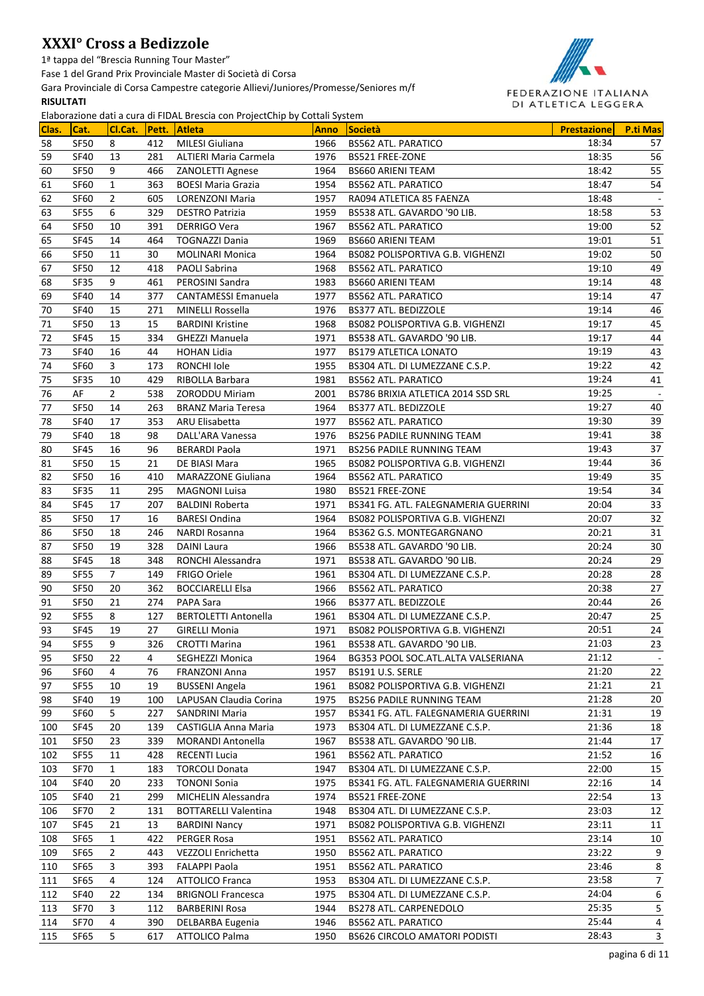1ª tappa del "Brescia Running Tour Master"

Fase 1 del Grand Prix Provinciale Master di Società di Corsa

Gara Provinciale di Corsa Campestre categorie Allievi/Juniores/Promesse/Seniores m/f

### **RISULTATI**



| Clas. | Cat.        | Cl.Cat.        |     | $\frac{1}{2}$ . The second contrary potential $\frac{1}{2}$ and $\frac{1}{2}$ are contrary of $\frac{1}{2}$<br>Pett. Atleta | <b>Anno</b> | <b>Società</b>                       | <b>Prestazione</b> | P.ti Mas |
|-------|-------------|----------------|-----|-----------------------------------------------------------------------------------------------------------------------------|-------------|--------------------------------------|--------------------|----------|
| 58    | SF50        | 8              | 412 | <b>MILESI Giuliana</b>                                                                                                      | 1966        | <b>BS562 ATL. PARATICO</b>           | 18:34              | 57       |
| 59    | <b>SF40</b> | 13             | 281 | ALTIERI Maria Carmela                                                                                                       | 1976        | BS521 FREE-ZONE                      | 18:35              | 56       |
| 60    | <b>SF50</b> | 9              | 466 | ZANOLETTI Agnese                                                                                                            | 1964        | <b>BS660 ARIENI TEAM</b>             | 18:42              | 55       |
| 61    | SF60        | 1              | 363 | <b>BOESI Maria Grazia</b>                                                                                                   | 1954        | <b>BS562 ATL. PARATICO</b>           | 18:47              | 54       |
| 62    | SF60        | $\overline{2}$ | 605 | LORENZONI Maria                                                                                                             | 1957        | RA094 ATLETICA 85 FAENZA             | 18:48              | $\sim$   |
| 63    | <b>SF55</b> | 6              | 329 | <b>DESTRO Patrizia</b>                                                                                                      | 1959        | BS538 ATL. GAVARDO '90 LIB.          | 18:58              | 53       |
| 64    | SF50        | 10             | 391 | DERRIGO Vera                                                                                                                | 1967        | <b>BS562 ATL. PARATICO</b>           | 19:00              | 52       |
| 65    | <b>SF45</b> | 14             | 464 | <b>TOGNAZZI Dania</b>                                                                                                       | 1969        | <b>BS660 ARIENI TEAM</b>             | 19:01              | 51       |
| 66    | SF50        | 11             | 30  | <b>MOLINARI Monica</b>                                                                                                      | 1964        | BS082 POLISPORTIVA G.B. VIGHENZI     | 19:02              | 50       |
| 67    | SF50        | 12             | 418 | PAOLI Sabrina                                                                                                               | 1968        | <b>BS562 ATL. PARATICO</b>           | 19:10              | 49       |
| 68    | SF35        | 9              | 461 | PEROSINI Sandra                                                                                                             | 1983        | <b>BS660 ARIENI TEAM</b>             | 19:14              | 48       |
| 69    | <b>SF40</b> | 14             | 377 | <b>CANTAMESSI Emanuela</b>                                                                                                  | 1977        | <b>BS562 ATL. PARATICO</b>           | 19:14              | 47       |
| 70    | <b>SF40</b> | 15             | 271 | <b>MINELLI Rossella</b>                                                                                                     | 1976        | BS377 ATL. BEDIZZOLE                 | 19:14              | 46       |
| 71    | SF50        | 13             | 15  | <b>BARDINI Kristine</b>                                                                                                     | 1968        | BS082 POLISPORTIVA G.B. VIGHENZI     | 19:17              | 45       |
| 72    | <b>SF45</b> | 15             | 334 | <b>GHEZZI Manuela</b>                                                                                                       | 1971        | BS538 ATL. GAVARDO '90 LIB.          | 19:17              | 44       |
| 73    | <b>SF40</b> | 16             | 44  | <b>HOHAN Lidia</b>                                                                                                          | 1977        | <b>BS179 ATLETICA LONATO</b>         | 19:19              | 43       |
| 74    | <b>SF60</b> | 3              | 173 | RONCHI Iole                                                                                                                 | 1955        | BS304 ATL. DI LUMEZZANE C.S.P.       | 19:22              | 42       |
| 75    | SF35        | 10             | 429 | RIBOLLA Barbara                                                                                                             | 1981        | <b>BS562 ATL. PARATICO</b>           | 19:24              | 41       |
| 76    | AF          | $\overline{2}$ | 538 | <b>ZORODDU Miriam</b>                                                                                                       | 2001        | BS786 BRIXIA ATLETICA 2014 SSD SRL   | 19:25              |          |
| 77    | <b>SF50</b> | 14             | 263 | <b>BRANZ Maria Teresa</b>                                                                                                   | 1964        | BS377 ATL. BEDIZZOLE                 | 19:27              | 40       |
| 78    | <b>SF40</b> | 17             | 353 | ARU Elisabetta                                                                                                              | 1977        | <b>BS562 ATL. PARATICO</b>           | 19:30              | 39       |
| 79    | <b>SF40</b> | 18             | 98  | DALL'ARA Vanessa                                                                                                            | 1976        | <b>BS256 PADILE RUNNING TEAM</b>     | 19:41              | 38       |
| 80    | <b>SF45</b> | 16             | 96  | <b>BERARDI Paola</b>                                                                                                        | 1971        | <b>BS256 PADILE RUNNING TEAM</b>     | 19:43              | 37       |
| 81    | <b>SF50</b> | 15             | 21  | DE BIASI Mara                                                                                                               | 1965        | BS082 POLISPORTIVA G.B. VIGHENZI     | 19:44              | 36       |
| 82    | <b>SF50</b> | 16             | 410 | <b>MARAZZONE Giuliana</b>                                                                                                   | 1964        | <b>BS562 ATL. PARATICO</b>           | 19:49              | 35       |
| 83    | SF35        | 11             | 295 | <b>MAGNONI Luisa</b>                                                                                                        | 1980        | BS521 FREE-ZONE                      | 19:54              | 34       |
| 84    | <b>SF45</b> | 17             | 207 | <b>BALDINI Roberta</b>                                                                                                      | 1971        | BS341 FG. ATL. FALEGNAMERIA GUERRINI | 20:04              | 33       |
| 85    | <b>SF50</b> | 17             | 16  | <b>BARESI Ondina</b>                                                                                                        | 1964        | BS082 POLISPORTIVA G.B. VIGHENZI     | 20:07              | 32       |
| 86    | SF50        | 18             | 246 | NARDI Rosanna                                                                                                               | 1964        | BS362 G.S. MONTEGARGNANO             | 20:21              | 31       |
| 87    | SF50        | 19             | 328 | <b>DAINI Laura</b>                                                                                                          | 1966        | BS538 ATL. GAVARDO '90 LIB.          | 20:24              | 30       |
| 88    | <b>SF45</b> | 18             | 348 | RONCHI Alessandra                                                                                                           | 1971        | BS538 ATL. GAVARDO '90 LIB.          | 20:24              | 29       |
| 89    | <b>SF55</b> | 7              | 149 | <b>FRIGO Oriele</b>                                                                                                         | 1961        | BS304 ATL. DI LUMEZZANE C.S.P.       | 20:28              | 28       |
| 90    | SF50        | 20             | 362 | <b>BOCCIARELLI Elsa</b>                                                                                                     | 1966        | <b>BS562 ATL. PARATICO</b>           | 20:38              | 27       |
| 91    | SF50        | 21             | 274 | PAPA Sara                                                                                                                   | 1966        | BS377 ATL. BEDIZZOLE                 | 20:44              | 26       |
| 92    | SF55        | 8              | 127 | <b>BERTOLETTI Antonella</b>                                                                                                 | 1961        | BS304 ATL. DI LUMEZZANE C.S.P.       | 20:47              | 25       |
| 93    | SF45        | 19             | 27  | <b>GIRELLI Monia</b>                                                                                                        | 1971        | BS082 POLISPORTIVA G.B. VIGHENZI     | 20:51              | 24       |
| 94    | <b>SF55</b> | 9              | 326 | <b>CROTTI Marina</b>                                                                                                        | 1961        | BS538 ATL. GAVARDO '90 LIB.          | 21:03              | 23       |
| 95    | SF50        | 22             | 4   | SEGHEZZI Monica                                                                                                             | 1964        | BG353 POOL SOC.ATL.ALTA VALSERIANA   | 21:12              | $\sim$   |
| 96    | SF60        | 4              | 76  | FRANZONI Anna                                                                                                               | 1957        | BS191 U.S. SERLE                     | 21:20              | 22       |
| 97    | SF55        | 10             | 19  | <b>BUSSENI Angela</b>                                                                                                       | 1961        | BS082 POLISPORTIVA G.B. VIGHENZI     | 21:21              | 21       |
| 98    | <b>SF40</b> | 19             | 100 | LAPUSAN Claudia Corina                                                                                                      | 1975        | <b>BS256 PADILE RUNNING TEAM</b>     | 21:28              | 20       |
| 99    | <b>SF60</b> | 5              | 227 | <b>SANDRINI Maria</b>                                                                                                       | 1957        | BS341 FG. ATL. FALEGNAMERIA GUERRINI | 21:31              | 19       |
| 100   | <b>SF45</b> | 20             | 139 | CASTIGLIA Anna Maria                                                                                                        | 1973        | BS304 ATL. DI LUMEZZANE C.S.P.       | 21:36              | 18       |
| 101   | SF50        | 23             | 339 | <b>MORANDI Antonella</b>                                                                                                    | 1967        | BS538 ATL. GAVARDO '90 LIB.          | 21:44              | 17       |
| 102   | <b>SF55</b> | 11             | 428 | <b>RECENTI Lucia</b>                                                                                                        | 1961        | <b>BS562 ATL. PARATICO</b>           | 21:52              | 16       |
| 103   | <b>SF70</b> | $\mathbf{1}$   | 183 | <b>TORCOLI Donata</b>                                                                                                       | 1947        | BS304 ATL. DI LUMEZZANE C.S.P.       | 22:00              | 15       |
| 104   | SF40        | 20             | 233 | <b>TONONI Sonia</b>                                                                                                         | 1975        | BS341 FG. ATL. FALEGNAMERIA GUERRINI | 22:16              | 14       |
| 105   | <b>SF40</b> | 21             | 299 | MICHELIN Alessandra                                                                                                         | 1974        | BS521 FREE-ZONE                      | 22:54              | 13       |
| 106   | <b>SF70</b> | $\overline{2}$ | 131 | <b>BOTTARELLI Valentina</b>                                                                                                 | 1948        | BS304 ATL. DI LUMEZZANE C.S.P.       | 23:03              | 12       |
| 107   | <b>SF45</b> | 21             | 13  | <b>BARDINI Nancy</b>                                                                                                        | 1971        | BS082 POLISPORTIVA G.B. VIGHENZI     | 23:11              | 11       |
| 108   | SF65        | 1              | 422 | PERGER Rosa                                                                                                                 | 1951        | <b>BS562 ATL. PARATICO</b>           | 23:14              | 10       |
| 109   | SF65        | $\overline{2}$ | 443 | VEZZOLI Enrichetta                                                                                                          | 1950        | BS562 ATL. PARATICO                  | 23:22              | 9        |
| 110   | SF65        | 3              | 393 | <b>FALAPPI Paola</b>                                                                                                        | 1951        | BS562 ATL. PARATICO                  | 23:46              | 8        |
| 111   | SF65        | 4              | 124 | <b>ATTOLICO Franca</b>                                                                                                      | 1953        | BS304 ATL. DI LUMEZZANE C.S.P.       | 23:58              | 7        |
| 112   | <b>SF40</b> | 22             | 134 | <b>BRIGNOLI Francesca</b>                                                                                                   | 1975        | BS304 ATL. DI LUMEZZANE C.S.P.       | 24:04              | 6        |
| 113   | SF70        | 3              | 112 | <b>BARBERINI Rosa</b>                                                                                                       | 1944        | BS278 ATL. CARPENEDOLO               | 25:35              | 5        |
| 114   | SF70        | 4              | 390 | DELBARBA Eugenia                                                                                                            | 1946        | <b>BS562 ATL. PARATICO</b>           | 25:44              | 4        |
| 115   | SF65        | 5              | 617 | ATTOLICO Palma                                                                                                              | 1950        | <b>BS626 CIRCOLO AMATORI PODISTI</b> | 28:43              | 3        |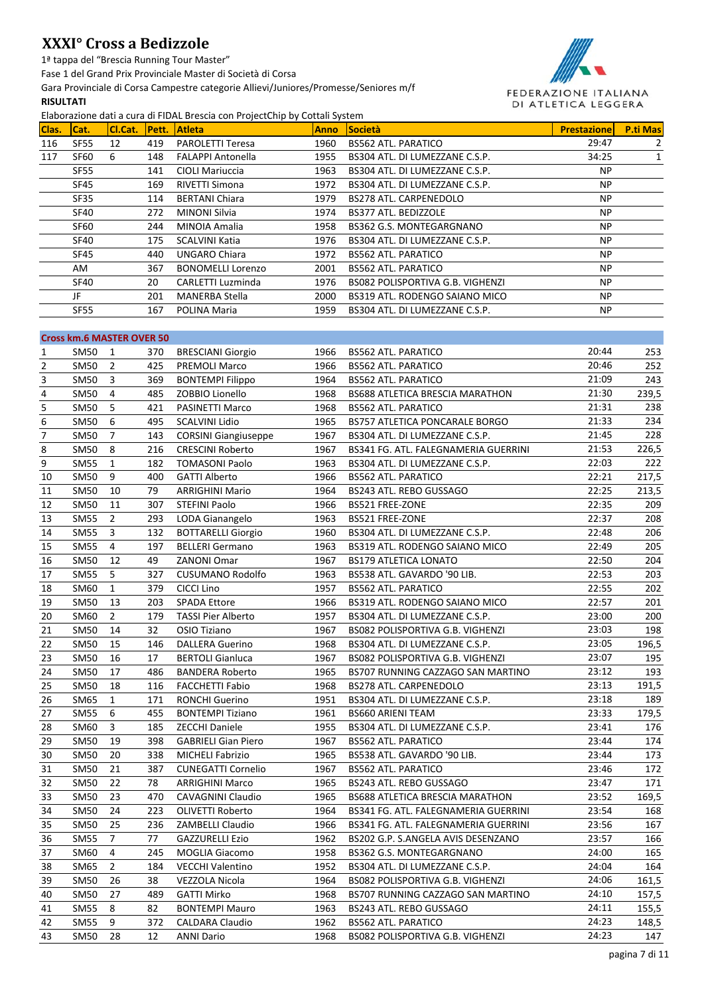1ª tappa del "Brescia Running Tour Master"

Fase 1 del Grand Prix Provinciale Master di Società di Corsa

Gara Provinciale di Corsa Campestre categorie Allievi/Juniores/Promesse/Seniores m/f

### **RISULTATI**



| Clas. | ICat.       | CI.Cat. | <b>Pett.</b> | Liaborazione dati a cui a ui FibAL biescia con Frojectenip by Cottail System<br><b>Atleta</b> | <b>Anno</b> | <b>Società</b>                   | <b>Prestazione</b> | <b>P.ti Mas</b> |
|-------|-------------|---------|--------------|-----------------------------------------------------------------------------------------------|-------------|----------------------------------|--------------------|-----------------|
| 116   | SF55        | 12      | 419          | <b>PAROLETTI Teresa</b>                                                                       | 1960        | <b>BS562 ATL. PARATICO</b>       | 29:47              | 2               |
| 117   | SF60        | 6       | 148          | <b>FALAPPI Antonella</b>                                                                      | 1955        | BS304 ATL. DI LUMEZZANE C.S.P.   | 34:25              | 1               |
|       | <b>SF55</b> |         | 141          | <b>CIOLI Mariuccia</b>                                                                        | 1963        | BS304 ATL. DI LUMEZZANE C.S.P.   | <b>NP</b>          |                 |
|       | <b>SF45</b> |         | 169          | <b>RIVETTI Simona</b>                                                                         | 1972        | BS304 ATL. DI LUMEZZANE C.S.P.   | <b>NP</b>          |                 |
|       | <b>SF35</b> |         | 114          | <b>BERTANI Chiara</b>                                                                         | 1979        | <b>BS278 ATL. CARPENEDOLO</b>    | <b>NP</b>          |                 |
|       | SF40        |         | 272          | <b>MINONI Silvia</b>                                                                          | 1974        | BS377 ATL. BEDIZZOLE             | <b>NP</b>          |                 |
|       | <b>SF60</b> |         | 244          | MINOIA Amalia                                                                                 | 1958        | BS362 G.S. MONTEGARGNANO         | <b>NP</b>          |                 |
|       | SF40        |         | 175          | <b>SCALVINI Katia</b>                                                                         | 1976        | BS304 ATL. DI LUMEZZANE C.S.P.   | <b>NP</b>          |                 |
|       | <b>SF45</b> |         | 440          | <b>UNGARO Chiara</b>                                                                          | 1972        | <b>BS562 ATL, PARATICO</b>       | <b>NP</b>          |                 |
|       | AM.         |         | 367          | <b>BONOMELLI Lorenzo</b>                                                                      | 2001        | <b>BS562 ATL, PARATICO</b>       | <b>NP</b>          |                 |
|       | <b>SF40</b> |         | 20           | <b>CARLETTI Luzminda</b>                                                                      | 1976        | BS082 POLISPORTIVA G.B. VIGHENZI | <b>NP</b>          |                 |
|       | JF          |         | 201          | <b>MANERBA Stella</b>                                                                         | 2000        | BS319 ATL. RODENGO SAIANO MICO   | <b>NP</b>          |                 |
|       | <b>SF55</b> |         | 167          | POLINA Maria                                                                                  | 1959        | BS304 ATL. DI LUMEZZANE C.S.P.   | <b>NP</b>          |                 |
|       |             |         |              |                                                                                               |             |                                  |                    |                 |

|                | <b>Cross km.6 MASTER OVER 50</b> |                |     |                             |      |                                       |       |       |
|----------------|----------------------------------|----------------|-----|-----------------------------|------|---------------------------------------|-------|-------|
| 1              | <b>SM50</b>                      | 1              | 370 | <b>BRESCIANI Giorgio</b>    | 1966 | <b>BS562 ATL. PARATICO</b>            | 20:44 | 253   |
| $\overline{2}$ | SM50                             | $\overline{2}$ | 425 | <b>PREMOLI Marco</b>        | 1966 | <b>BS562 ATL. PARATICO</b>            | 20:46 | 252   |
| 3              | <b>SM50</b>                      | 3              | 369 | <b>BONTEMPI Filippo</b>     | 1964 | <b>BS562 ATL. PARATICO</b>            | 21:09 | 243   |
| 4              | <b>SM50</b>                      | 4              | 485 | ZOBBIO Lionello             | 1968 | BS688 ATLETICA BRESCIA MARATHON       | 21:30 | 239,5 |
| 5              | <b>SM50</b>                      | 5              | 421 | PASINETTI Marco             | 1968 | <b>BS562 ATL. PARATICO</b>            | 21:31 | 238   |
| 6              | <b>SM50</b>                      | 6              | 495 | <b>SCALVINI Lidio</b>       | 1965 | <b>BS757 ATLETICA PONCARALE BORGO</b> | 21:33 | 234   |
| 7              | <b>SM50</b>                      | $\overline{7}$ | 143 | <b>CORSINI Giangiuseppe</b> | 1967 | BS304 ATL. DI LUMEZZANE C.S.P.        | 21:45 | 228   |
| 8              | <b>SM50</b>                      | 8              | 216 | <b>CRESCINI Roberto</b>     | 1967 | BS341 FG. ATL. FALEGNAMERIA GUERRINI  | 21:53 | 226,5 |
| 9              | <b>SM55</b>                      | 1              | 182 | <b>TOMASONI Paolo</b>       | 1963 | BS304 ATL. DI LUMEZZANE C.S.P.        | 22:03 | 222   |
| 10             | <b>SM50</b>                      | 9              | 400 | <b>GATTI Alberto</b>        | 1966 | <b>BS562 ATL. PARATICO</b>            | 22:21 | 217,5 |
| 11             | <b>SM50</b>                      | 10             | 79  | <b>ARRIGHINI Mario</b>      | 1964 | BS243 ATL. REBO GUSSAGO               | 22:25 | 213,5 |
| 12             | <b>SM50</b>                      | 11             | 307 | <b>STEFINI Paolo</b>        | 1966 | BS521 FREE-ZONE                       | 22:35 | 209   |
| 13             | <b>SM55</b>                      | $\overline{2}$ | 293 | LODA Gianangelo             | 1963 | BS521 FREE-ZONE                       | 22:37 | 208   |
| 14             | <b>SM55</b>                      | 3              | 132 | <b>BOTTARELLI Giorgio</b>   | 1960 | BS304 ATL. DI LUMEZZANE C.S.P.        | 22:48 | 206   |
| 15             | <b>SM55</b>                      | 4              | 197 | <b>BELLERI Germano</b>      | 1963 | BS319 ATL. RODENGO SAIANO MICO        | 22:49 | 205   |
| 16             | <b>SM50</b>                      | 12             | 49  | <b>ZANONI Omar</b>          | 1967 | <b>BS179 ATLETICA LONATO</b>          | 22:50 | 204   |
| 17             | <b>SM55</b>                      | 5              | 327 | <b>CUSUMANO Rodolfo</b>     | 1963 | BS538 ATL. GAVARDO '90 LIB.           | 22:53 | 203   |
| 18             | SM60                             | $\mathbf{1}$   | 379 | CICCI Lino                  | 1957 | <b>BS562 ATL. PARATICO</b>            | 22:55 | 202   |
| 19             | <b>SM50</b>                      | 13             | 203 | <b>SPADA Ettore</b>         | 1966 | BS319 ATL. RODENGO SAIANO MICO        | 22:57 | 201   |
| 20             | SM60                             | $\overline{2}$ | 179 | <b>TASSI Pier Alberto</b>   | 1957 | BS304 ATL. DI LUMEZZANE C.S.P.        | 23:00 | 200   |
| 21             | <b>SM50</b>                      | 14             | 32  | OSIO Tiziano                | 1967 | BS082 POLISPORTIVA G.B. VIGHENZI      | 23:03 | 198   |
| 22             | <b>SM50</b>                      | 15             | 146 | <b>DALLERA Guerino</b>      | 1968 | BS304 ATL. DI LUMEZZANE C.S.P.        | 23:05 | 196,5 |
| 23             | <b>SM50</b>                      | 16             | 17  | <b>BERTOLI Gianluca</b>     | 1967 | BS082 POLISPORTIVA G.B. VIGHENZI      | 23:07 | 195   |
| 24             | <b>SM50</b>                      | 17             | 486 | <b>BANDERA Roberto</b>      | 1965 | BS707 RUNNING CAZZAGO SAN MARTINO     | 23:12 | 193   |
| 25             | <b>SM50</b>                      | 18             | 116 | <b>FACCHETTI Fabio</b>      | 1968 | BS278 ATL. CARPENEDOLO                | 23:13 | 191,5 |
| 26             | <b>SM65</b>                      | $\mathbf{1}$   | 171 | <b>RONCHI Guerino</b>       | 1951 | BS304 ATL. DI LUMEZZANE C.S.P.        | 23:18 | 189   |
| 27             | <b>SM55</b>                      | 6              | 455 | <b>BONTEMPI Tiziano</b>     | 1961 | <b>BS660 ARIENI TEAM</b>              | 23:33 | 179,5 |
| 28             | SM60                             | 3              | 185 | <b>ZECCHI Daniele</b>       | 1955 | BS304 ATL. DI LUMEZZANE C.S.P.        | 23:41 | 176   |
| 29             | <b>SM50</b>                      | 19             | 398 | <b>GABRIELI Gian Piero</b>  | 1967 | <b>BS562 ATL. PARATICO</b>            | 23:44 | 174   |
| 30             | <b>SM50</b>                      | 20             | 338 | <b>MICHELI Fabrizio</b>     | 1965 | BS538 ATL. GAVARDO '90 LIB.           | 23:44 | 173   |
| 31             | <b>SM50</b>                      | 21             | 387 | <b>CUNEGATTI Cornelio</b>   | 1967 | <b>BS562 ATL. PARATICO</b>            | 23:46 | 172   |
| 32             | <b>SM50</b>                      | 22             | 78  | <b>ARRIGHINI Marco</b>      | 1965 | BS243 ATL. REBO GUSSAGO               | 23:47 | 171   |
| 33             | <b>SM50</b>                      | 23             | 470 | <b>CAVAGNINI Claudio</b>    | 1965 | BS688 ATLETICA BRESCIA MARATHON       | 23:52 | 169,5 |
| 34             | <b>SM50</b>                      | 24             | 223 | <b>OLIVETTI Roberto</b>     | 1964 | BS341 FG. ATL. FALEGNAMERIA GUERRINI  | 23:54 | 168   |
| 35             | <b>SM50</b>                      | 25             | 236 | <b>ZAMBELLI Claudio</b>     | 1966 | BS341 FG. ATL. FALEGNAMERIA GUERRINI  | 23:56 | 167   |
| 36             | <b>SM55</b>                      | $\overline{7}$ | 77  | <b>GAZZURELLI Ezio</b>      | 1962 | BS202 G.P. S.ANGELA AVIS DESENZANO    | 23:57 | 166   |
| 37             | SM60                             | $\overline{4}$ | 245 | <b>MOGLIA Giacomo</b>       | 1958 | BS362 G.S. MONTEGARGNANO              | 24:00 | 165   |
| 38             | <b>SM65</b>                      | $\overline{2}$ | 184 | <b>VECCHI Valentino</b>     | 1952 | BS304 ATL. DI LUMEZZANE C.S.P.        | 24:04 | 164   |
| 39             | <b>SM50</b>                      | 26             | 38  | <b>VEZZOLA Nicola</b>       | 1964 | BS082 POLISPORTIVA G.B. VIGHENZI      | 24:06 | 161,5 |
| 40             | <b>SM50</b>                      | 27             | 489 | <b>GATTI Mirko</b>          | 1968 | BS707 RUNNING CAZZAGO SAN MARTINO     | 24:10 | 157,5 |
| 41             | <b>SM55</b>                      | 8              | 82  | <b>BONTEMPI Mauro</b>       | 1963 | BS243 ATL. REBO GUSSAGO               | 24:11 | 155,5 |
| 42             | <b>SM55</b>                      | 9              | 372 | <b>CALDARA Claudio</b>      | 1962 | <b>BS562 ATL. PARATICO</b>            | 24:23 | 148,5 |
| 43             | <b>SM50</b>                      | 28             | 12  | <b>ANNI Dario</b>           | 1968 | BS082 POLISPORTIVA G.B. VIGHENZI      | 24:23 | 147   |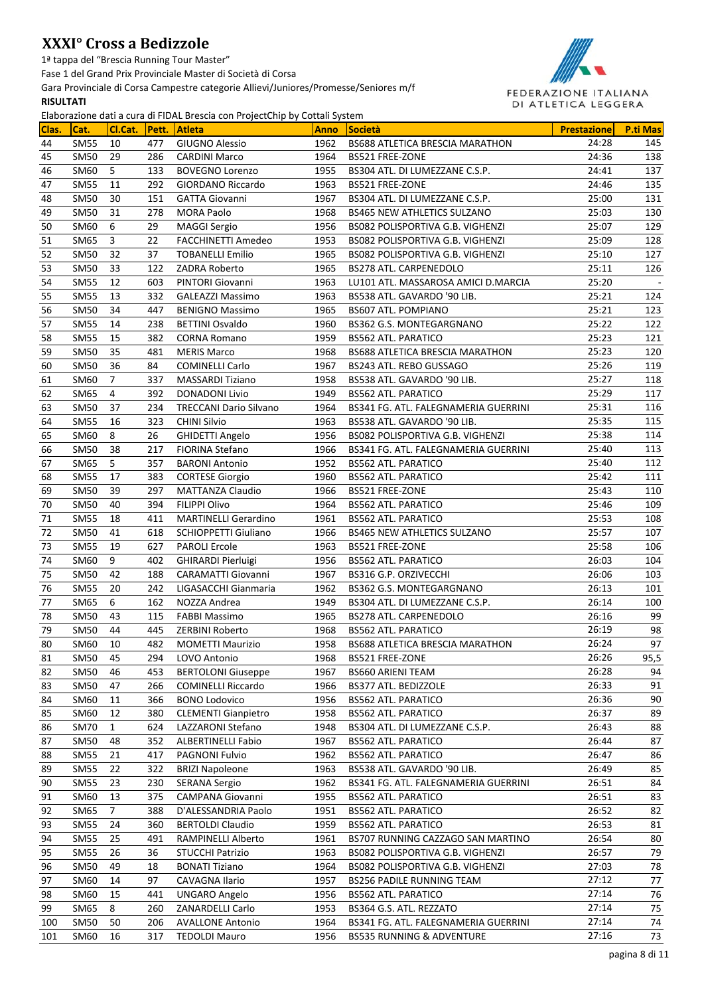1ª tappa del "Brescia Running Tour Master"

Fase 1 del Grand Prix Provinciale Master di Società di Corsa

Gara Provinciale di Corsa Campestre categorie Allievi/Juniores/Promesse/Seniores m/f

### **RISULTATI**



| Clas.    | Cat.                       | Cl.Cat.        | Pett.      | <b>Atleta</b>                           | <b>Anno</b>  | <b>Società</b>                                                 | <b>Prestazione</b> | <b>P.ti Mas</b> |
|----------|----------------------------|----------------|------------|-----------------------------------------|--------------|----------------------------------------------------------------|--------------------|-----------------|
| 44       | <b>SM55</b>                | 10             | 477        | <b>GIUGNO Alessio</b>                   | 1962         | BS688 ATLETICA BRESCIA MARATHON                                | 24:28              | 145             |
| 45       | <b>SM50</b>                | 29             | 286        | <b>CARDINI Marco</b>                    | 1964         | BS521 FREE-ZONE                                                | 24:36              | 138             |
| 46       | SM60                       | 5              | 133        | <b>BOVEGNO Lorenzo</b>                  | 1955         | BS304 ATL. DI LUMEZZANE C.S.P.                                 | 24:41              | 137             |
| 47       | <b>SM55</b>                | 11             | 292        | GIORDANO Riccardo                       | 1963         | BS521 FREE-ZONE                                                | 24:46              | 135             |
| 48       | <b>SM50</b>                | 30             | 151        | <b>GATTA Giovanni</b>                   | 1967         | BS304 ATL. DI LUMEZZANE C.S.P.                                 | 25:00              | 131             |
| 49       | <b>SM50</b>                | 31             | 278        | <b>MORA Paolo</b>                       | 1968         | <b>BS465 NEW ATHLETICS SULZANO</b>                             | 25:03              | 130             |
| 50       | SM60                       | 6              | 29         | <b>MAGGI Sergio</b>                     | 1956         | BS082 POLISPORTIVA G.B. VIGHENZI                               | 25:07              | 129             |
| 51       | SM65                       | 3              | 22         | FACCHINETTI Amedeo                      | 1953         | BS082 POLISPORTIVA G.B. VIGHENZI                               | 25:09              | 128             |
| 52       | <b>SM50</b>                | 32             | 37         | <b>TOBANELLI Emilio</b>                 | 1965         | BS082 POLISPORTIVA G.B. VIGHENZI                               | 25:10              | 127             |
| 53       | <b>SM50</b>                | 33             | 122        | ZADRA Roberto                           | 1965         | <b>BS278 ATL. CARPENEDOLO</b>                                  | 25:11              | 126             |
| 54       | <b>SM55</b>                | 12             | 603        | PINTORI Giovanni                        | 1963         | LU101 ATL. MASSAROSA AMICI D.MARCIA                            | 25:20              |                 |
| 55       | <b>SM55</b>                | 13             | 332        | GALEAZZI Massimo                        | 1963         | BS538 ATL. GAVARDO '90 LIB.                                    | 25:21              | 124             |
| 56       | <b>SM50</b>                | 34             | 447        | <b>BENIGNO Massimo</b>                  | 1965         | <b>BS607 ATL. POMPIANO</b>                                     | 25:21              | 123             |
| 57       | <b>SM55</b>                | 14             | 238        | <b>BETTINI Osvaldo</b>                  | 1960         | BS362 G.S. MONTEGARGNANO                                       | 25:22              | 122             |
| 58       | <b>SM55</b>                | 15             | 382        | <b>CORNA Romano</b>                     | 1959         | <b>BS562 ATL. PARATICO</b>                                     | 25:23              | 121             |
| 59       | <b>SM50</b>                | 35             | 481        | <b>MERIS Marco</b>                      | 1968         | BS688 ATLETICA BRESCIA MARATHON                                | 25:23              | 120             |
| 60       | <b>SM50</b>                | 36             | 84         | <b>COMINELLI Carlo</b>                  | 1967         | BS243 ATL. REBO GUSSAGO                                        | 25:26              | 119             |
| 61       | <b>SM60</b>                | $\overline{7}$ | 337        | <b>MASSARDI Tiziano</b>                 | 1958         | BS538 ATL. GAVARDO '90 LIB.                                    | 25:27              | 118             |
| 62       | SM65                       | 4              | 392        | <b>DONADONI Livio</b>                   | 1949         | <b>BS562 ATL. PARATICO</b>                                     | 25:29              | 117             |
| 63       | <b>SM50</b>                | 37             | 234        | <b>TRECCANI Dario Silvano</b>           | 1964         | BS341 FG. ATL. FALEGNAMERIA GUERRINI                           | 25:31              | 116             |
| 64       | <b>SM55</b>                | 16             | 323        | <b>CHINI Silvio</b>                     | 1963         | BS538 ATL. GAVARDO '90 LIB.                                    | 25:35              | 115             |
| 65       | <b>SM60</b>                | 8              | 26         | <b>GHIDETTI Angelo</b>                  | 1956         | BS082 POLISPORTIVA G.B. VIGHENZI                               | 25:38              | 114             |
| 66       | <b>SM50</b>                | 38             | 217        | <b>FIORINA Stefano</b>                  | 1966         | BS341 FG. ATL. FALEGNAMERIA GUERRINI                           | 25:40              | 113             |
| 67       | SM65                       | 5              | 357        | <b>BARONI Antonio</b>                   | 1952         | <b>BS562 ATL. PARATICO</b>                                     | 25:40              | 112             |
| 68       | <b>SM55</b>                | 17             | 383        | <b>CORTESE Giorgio</b>                  | 1960         | <b>BS562 ATL. PARATICO</b>                                     | 25:42              | 111             |
| 69       | <b>SM50</b>                | 39             | 297        | <b>MATTANZA Claudio</b>                 | 1966         | BS521 FREE-ZONE                                                | 25:43              | 110             |
| 70       | <b>SM50</b>                | 40             | 394        | <b>FILIPPI Olivo</b>                    | 1964         | <b>BS562 ATL. PARATICO</b>                                     | 25:46              | 109             |
| 71       | <b>SM55</b>                | 18             | 411        | <b>MARTINELLI Gerardino</b>             | 1961         | <b>BS562 ATL. PARATICO</b>                                     | 25:53              | 108             |
| 72       | <b>SM50</b>                | 41             | 618        | SCHIOPPETTI Giuliano                    | 1966         | <b>BS465 NEW ATHLETICS SULZANO</b>                             | 25:57              | 107             |
| 73       | <b>SM55</b>                | 19             | 627        | <b>PAROLI Ercole</b>                    | 1963         | BS521 FREE-ZONE                                                | 25:58              | 106             |
| 74       | SM60                       | 9              | 402        | <b>GHIRARDI Pierluigi</b>               | 1956         | <b>BS562 ATL. PARATICO</b>                                     | 26:03              | 104             |
| 75       | <b>SM50</b>                | 42             | 188        | <b>CARAMATTI Giovanni</b>               | 1967         | BS316 G.P. ORZIVECCHI                                          | 26:06              | 103             |
| 76       | <b>SM55</b>                | 20             | 242        | LIGASACCHI Gianmaria                    | 1962         | BS362 G.S. MONTEGARGNANO                                       | 26:13              | 101             |
| 77       | SM65                       | 6              | 162        | NOZZA Andrea                            | 1949         | BS304 ATL. DI LUMEZZANE C.S.P.                                 | 26:14              | 100             |
| 78       | <b>SM50</b>                | 43             | 115        | <b>FABBI Massimo</b>                    | 1965         | BS278 ATL. CARPENEDOLO                                         | 26:16              | 99              |
| 79       | <b>SM50</b>                | 44             | 445        | ZERBINI Roberto                         | 1968         | <b>BS562 ATL. PARATICO</b>                                     | 26:19              | 98              |
| 80       | SM60                       | 10             | 482        | <b>MOMETTI Maurizio</b>                 | 1958         | BS688 ATLETICA BRESCIA MARATHON                                | 26:24              | 97              |
| 81       | <b>SM50</b>                | 45             | 294        | LOVO Antonio                            | 1968         | BS521 FREE-ZONE                                                | 26:26              | 95,5            |
| 82       | <b>SM50</b>                | 46             | 453        | <b>BERTOLONI Giuseppe</b>               | 1967         | <b>BS660 ARIENI TEAM</b>                                       | 26:28              | 94              |
| 83       | <b>SM50</b>                | 47             | 266        | <b>COMINELLI Riccardo</b>               | 1966         | BS377 ATL. BEDIZZOLE                                           | 26:33              | 91              |
| 84       | <b>SM60</b>                | 11             | 366        | <b>BONO Lodovico</b>                    | 1956         | <b>BS562 ATL. PARATICO</b>                                     | 26:36              | 90              |
| 85       | SM60                       | 12             | 380        | <b>CLEMENTI Gianpietro</b>              | 1958         | <b>BS562 ATL. PARATICO</b>                                     | 26:37              | 89              |
| 86       | <b>SM70</b>                | 1              | 624        | LAZZARONI Stefano                       | 1948         | BS304 ATL. DI LUMEZZANE C.S.P.                                 | 26:43              | 88              |
| 87       | <b>SM50</b>                | 48             | 352        | <b>ALBERTINELLI Fabio</b>               | 1967         | <b>BS562 ATL. PARATICO</b>                                     | 26:44              | 87              |
| 88       | <b>SM55</b>                | 21             | 417        | PAGNONI Fulvio                          | 1962         | <b>BS562 ATL. PARATICO</b>                                     | 26:47              | 86              |
| 89       | <b>SM55</b>                | 22             | 322        | <b>BRIZI Napoleone</b>                  | 1963         | BS538 ATL. GAVARDO '90 LIB.                                    | 26:49              | 85              |
| 90       | <b>SM55</b>                | 23             | 230        | <b>SERANA Sergio</b>                    | 1962         | BS341 FG. ATL. FALEGNAMERIA GUERRINI                           | 26:51              | 84              |
| 91       | <b>SM60</b>                | 13             | 375        | CAMPANA Giovanni                        | 1955         | <b>BS562 ATL. PARATICO</b>                                     | 26:51<br>26:52     | 83<br>82        |
| 92       | <b>SM65</b>                | 7              | 388        | D'ALESSANDRIA Paolo                     | 1951         | <b>BS562 ATL. PARATICO</b>                                     | 26:53              |                 |
| 93<br>94 | <b>SM55</b><br><b>SM55</b> | 24             | 360<br>491 | <b>BERTOLDI Claudio</b>                 | 1959<br>1961 | <b>BS562 ATL. PARATICO</b>                                     | 26:54              | 81              |
|          |                            | 25             |            | RAMPINELLI Alberto                      |              | BS707 RUNNING CAZZAGO SAN MARTINO                              |                    | 80              |
| 95       | SM <sub>55</sub>           | 26             | 36<br>18   | <b>STUCCHI Patrizio</b>                 | 1963<br>1964 | BS082 POLISPORTIVA G.B. VIGHENZI                               | 26:57<br>27:03     | 79              |
| 96<br>97 | SM <sub>50</sub>           | 49<br>14       | 97         | <b>BONATI Tiziano</b><br>CAVAGNA Ilario | 1957         | BS082 POLISPORTIVA G.B. VIGHENZI                               | 27:12              | 78<br>$77$      |
| 98       | SM60<br>SM60               | 15             | 441        | <b>UNGARO Angelo</b>                    | 1956         | <b>BS256 PADILE RUNNING TEAM</b><br><b>BS562 ATL. PARATICO</b> | 27:14              | 76              |
| 99       | SM65                       | 8              | 260        | ZANARDELLI Carlo                        | 1953         | BS364 G.S. ATL. REZZATO                                        | 27:14              | 75              |
| 100      | <b>SM50</b>                | 50             | 206        | <b>AVALLONE Antonio</b>                 | 1964         | BS341 FG. ATL. FALEGNAMERIA GUERRINI                           | 27:14              | 74              |
| 101      | SM60                       | 16             | 317        | <b>TEDOLDI Mauro</b>                    | 1956         | <b>BS535 RUNNING &amp; ADVENTURE</b>                           | 27:16              | 73              |
|          |                            |                |            |                                         |              |                                                                |                    |                 |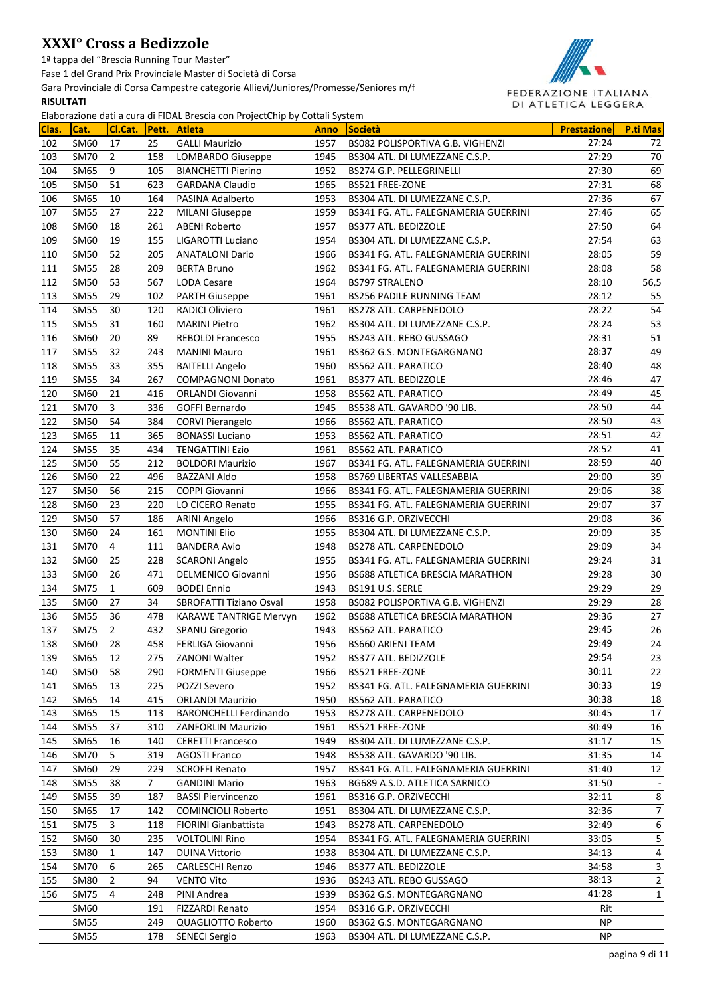1ª tappa del "Brescia Running Tour Master"

Fase 1 del Grand Prix Provinciale Master di Società di Corsa

Gara Provinciale di Corsa Campestre categorie Allievi/Juniores/Promesse/Seniores m/f

### **RISULTATI**



| 27:24<br>102<br>SM60<br>17<br>25<br><b>GALLI Maurizio</b><br>1957<br>BS082 POLISPORTIVA G.B. VIGHENZI<br>72<br><b>SM70</b><br>$\overline{2}$<br>158<br>1945<br>27:29<br>70<br>103<br>LOMBARDO Giuseppe<br>BS304 ATL. DI LUMEZZANE C.S.P.<br>27:30<br>69<br>1952<br>104<br>SM65<br>9<br>105<br><b>BIANCHETTI Pierino</b><br>BS274 G.P. PELLEGRINELLI<br><b>SM50</b><br>623<br>1965<br>27:31<br>68<br>105<br>51<br><b>GARDANA Claudio</b><br>BS521 FREE-ZONE<br>1953<br>67<br>106<br><b>SM65</b><br>10<br>164<br>BS304 ATL. DI LUMEZZANE C.S.P.<br>27:36<br>PASINA Adalberto<br>65<br>1959<br>27:46<br>107<br><b>SM55</b><br>27<br>222<br>BS341 FG. ATL. FALEGNAMERIA GUERRINI<br><b>MILANI Giuseppe</b><br>1957<br>64<br>108<br><b>SM60</b><br>261<br>27:50<br>18<br>ABENI Roberto<br>BS377 ATL. BEDIZZOLE<br>63<br>27:54<br>109<br><b>SM60</b><br>19<br>155<br>1954<br>BS304 ATL. DI LUMEZZANE C.S.P.<br>LIGAROTTI Luciano<br>59<br>1966<br>28:05<br>110<br><b>SM50</b><br>52<br>205<br>BS341 FG. ATL. FALEGNAMERIA GUERRINI<br><b>ANATALONI Dario</b><br>58<br>1962<br>111<br><b>SM55</b><br>28<br>209<br>28:08<br><b>BERTA Bruno</b><br>BS341 FG. ATL. FALEGNAMERIA GUERRINI<br><b>SM50</b><br>53<br>567<br>1964<br>28:10<br>56,5<br>112<br><b>LODA Cesare</b><br><b>BS797 STRALENO</b><br>29<br>102<br>1961<br>55<br>113<br><b>SM55</b><br><b>PARTH Giuseppe</b><br>28:12<br><b>BS256 PADILE RUNNING TEAM</b><br>54<br>120<br>1961<br>28:22<br>114<br><b>SM55</b><br>30<br>BS278 ATL. CARPENEDOLO<br>RADICI Oliviero<br>53<br>1962<br>28:24<br>115<br><b>SM55</b><br>31<br>160<br><b>MARINI Pietro</b><br>BS304 ATL. DI LUMEZZANE C.S.P.<br>51<br>20<br>89<br>1955<br>116<br><b>SM60</b><br>28:31<br><b>REBOLDI Francesco</b><br>BS243 ATL. REBO GUSSAGO<br>49<br>1961<br>28:37<br>117<br><b>SM55</b><br>32<br>243<br><b>MANINI Mauro</b><br>BS362 G.S. MONTEGARGNANO<br>355<br>1960<br>28:40<br>48<br>118<br><b>SM55</b><br>33<br><b>BAITELLI Angelo</b><br><b>BS562 ATL. PARATICO</b><br><b>SM55</b><br>34<br>267<br>1961<br>47<br>119<br><b>COMPAGNONI Donato</b><br>BS377 ATL. BEDIZZOLE<br>28:46<br>45<br>21<br>416<br>1958<br>28:49<br>120<br><b>SM60</b><br><b>ORLANDI Giovanni</b><br><b>BS562 ATL. PARATICO</b><br>3<br>336<br>44<br>121<br><b>SM70</b><br>GOFFI Bernardo<br>1945<br>BS538 ATL. GAVARDO '90 LIB.<br>28:50<br>43<br>384<br>1966<br>28:50<br>122<br><b>SM50</b><br>54<br><b>CORVI Pierangelo</b><br><b>BS562 ATL. PARATICO</b><br>1953<br>28:51<br>42<br>123<br>11<br>365<br>SM65<br><b>BONASSI Luciano</b><br><b>BS562 ATL. PARATICO</b><br>35<br>1961<br>41<br>124<br><b>SM55</b><br>434<br><b>BS562 ATL. PARATICO</b><br>28:52<br><b>TENGATTINI Ezio</b><br>40<br>125<br>55<br>212<br>1967<br>BS341 FG. ATL. FALEGNAMERIA GUERRINI<br>28:59<br><b>SM50</b><br><b>BOLDORI Maurizio</b><br>126<br>22<br>496<br><b>BAZZANI Aldo</b><br>1958<br>29:00<br>39<br><b>SM60</b><br>BS769 LIBERTAS VALLESABBIA<br>38<br>56<br>1966<br>127<br><b>SM50</b><br>215<br><b>COPPI Giovanni</b><br>BS341 FG. ATL. FALEGNAMERIA GUERRINI<br>29:06<br>37<br>1955<br>29:07<br>128<br><b>SM60</b><br>23<br>220<br>LO CICERO Renato<br>BS341 FG. ATL. FALEGNAMERIA GUERRINI<br>29:08<br>36<br>1966<br>129<br><b>SM50</b><br>57<br>186<br>BS316 G.P. ORZIVECCHI<br>ARINI Angelo<br>35<br>161<br>1955<br>130<br><b>SM60</b><br>24<br><b>MONTINI Elio</b><br>BS304 ATL. DI LUMEZZANE C.S.P.<br>29:09<br><b>SM70</b><br>1948<br>29:09<br>34<br>131<br>4<br>111<br><b>BANDERA Avio</b><br>BS278 ATL. CARPENEDOLO<br>132<br>228<br>1955<br>31<br>SM60<br>25<br><b>SCARONI Angelo</b><br>BS341 FG. ATL. FALEGNAMERIA GUERRINI<br>29:24<br>30<br>1956<br>29:28<br>133<br><b>SM60</b><br>26<br>471<br><b>DELMENICO Giovanni</b><br>BS688 ATLETICA BRESCIA MARATHON<br>29<br>29:29<br>134<br><b>SM75</b><br>609<br><b>BODEI Ennio</b><br>1943<br>BS191 U.S. SERLE<br>1<br>34<br>28<br>135<br>SBROFATTI Tiziano Osval<br>1958<br>BS082 POLISPORTIVA G.B. VIGHENZI<br>29:29<br>SM60<br>27<br>27<br>29:36<br>478<br>1962<br>136<br>SM55<br>36<br><b>KARAWE TANTRIGE Mervyn</b><br>BS688 ATLETICA BRESCIA MARATHON<br>29:45<br>26<br>137<br><b>SM75</b><br>$\overline{2}$<br>432<br><b>SPANU Gregorio</b><br>1943<br><b>BS562 ATL. PARATICO</b><br>24<br>138<br>SM60<br>28<br>458<br>1956<br>29:49<br>FERLIGA Giovanni<br><b>BS660 ARIENI TEAM</b><br>29:54<br>23<br>139<br><b>SM65</b><br>12<br><b>ZANONI Walter</b><br>1952<br>BS377 ATL. BEDIZZOLE<br>275<br>22<br>140<br><b>SM50</b><br>58<br>290<br><b>FORMENTI Giuseppe</b><br>1966<br>BS521 FREE-ZONE<br>30:11<br>19<br><b>SM65</b><br>13<br>225<br>POZZI Severo<br>1952<br>BS341 FG. ATL. FALEGNAMERIA GUERRINI<br>30:33<br>141<br>30:38<br>18<br>1950<br>142<br>SM65<br>14<br>415<br><b>ORLANDI Maurizio</b><br><b>BS562 ATL. PARATICO</b><br>1953<br>30:45<br>17<br>143<br>SM65<br>15<br>113<br><b>BARONCHELLI Ferdinando</b><br><b>BS278 ATL. CARPENEDOLO</b><br><b>SM55</b><br>310<br>1961<br>30:49<br>16<br>144<br>37<br><b>ZANFORLIN Maurizio</b><br>BS521 FREE-ZONE<br>16<br>140<br>1949<br>31:17<br>15<br>145<br>SM65<br><b>CERETTI Francesco</b><br>BS304 ATL. DI LUMEZZANE C.S.P.<br><b>SM70</b><br>5<br>319<br>1948<br>31:35<br>14<br>146<br><b>AGOSTI Franco</b><br>BS538 ATL. GAVARDO '90 LIB.<br>12<br>147<br>29<br>229<br>1957<br>BS341 FG. ATL. FALEGNAMERIA GUERRINI<br>31:40<br>SM60<br><b>SCROFFI Renato</b><br>$\overline{7}$<br>31:50<br>38<br>1963<br>148<br>SM <sub>55</sub><br><b>GANDINI Mario</b><br>BG689 A.S.D. ATLETICA SARNICO<br>1961<br>149<br>SM <sub>55</sub><br>39<br>187<br><b>BASSI Piervincenzo</b><br>BS316 G.P. ORZIVECCHI<br>32:11<br>8<br>32:36<br>7<br>1951<br>BS304 ATL. DI LUMEZZANE C.S.P.<br>150<br>SM65<br>17<br>142<br><b>COMINCIOLI Roberto</b><br>32:49<br>151<br><b>SM75</b><br>3<br>118<br>1943<br>BS278 ATL. CARPENEDOLO<br>6<br><b>FIORINI Gianbattista</b><br>152<br>SM60<br>30<br>235<br>1954<br>BS341 FG. ATL. FALEGNAMERIA GUERRINI<br>33:05<br>5<br><b>VOLTOLINI Rino</b><br>34:13<br>4<br>153<br><b>SM80</b><br><b>DUINA Vittorio</b><br>1938<br>BS304 ATL. DI LUMEZZANE C.S.P.<br>$\mathbf{1}$<br>147<br>154<br><b>SM70</b><br>1946<br>34:58<br>3<br>6<br>265<br><b>CARLESCHI Renzo</b><br>BS377 ATL. BEDIZZOLE<br>38:13<br>2<br>155<br><b>VENTO Vito</b><br>1936<br>BS243 ATL. REBO GUSSAGO<br>SM80<br>2<br>94<br>41:28<br>156<br><b>SM75</b><br>1939<br>4<br>248<br>PINI Andrea<br>BS362 G.S. MONTEGARGNANO<br>$\mathbf{1}$<br>1954<br>SM60<br>191<br><b>FIZZARDI Renato</b><br>BS316 G.P. ORZIVECCHI<br>Rit<br><b>SM55</b><br>249<br>1960<br>NP.<br>QUAGLIOTTO Roberto<br>BS362 G.S. MONTEGARGNANO<br>1963<br>NP.<br><b>SM55</b><br>178<br><b>SENECI Sergio</b><br>BS304 ATL. DI LUMEZZANE C.S.P. | Clas. | Cat. | Cl.Cat. | Pett. | Envolutions dan a cara annone brescia commojectemp by cottan system.<br>Atleta | <b>Anno</b> | <b>Società</b> | <b>Prestazione</b> | <b>P.ti Mas</b> |
|---------------------------------------------------------------------------------------------------------------------------------------------------------------------------------------------------------------------------------------------------------------------------------------------------------------------------------------------------------------------------------------------------------------------------------------------------------------------------------------------------------------------------------------------------------------------------------------------------------------------------------------------------------------------------------------------------------------------------------------------------------------------------------------------------------------------------------------------------------------------------------------------------------------------------------------------------------------------------------------------------------------------------------------------------------------------------------------------------------------------------------------------------------------------------------------------------------------------------------------------------------------------------------------------------------------------------------------------------------------------------------------------------------------------------------------------------------------------------------------------------------------------------------------------------------------------------------------------------------------------------------------------------------------------------------------------------------------------------------------------------------------------------------------------------------------------------------------------------------------------------------------------------------------------------------------------------------------------------------------------------------------------------------------------------------------------------------------------------------------------------------------------------------------------------------------------------------------------------------------------------------------------------------------------------------------------------------------------------------------------------------------------------------------------------------------------------------------------------------------------------------------------------------------------------------------------------------------------------------------------------------------------------------------------------------------------------------------------------------------------------------------------------------------------------------------------------------------------------------------------------------------------------------------------------------------------------------------------------------------------------------------------------------------------------------------------------------------------------------------------------------------------------------------------------------------------------------------------------------------------------------------------------------------------------------------------------------------------------------------------------------------------------------------------------------------------------------------------------------------------------------------------------------------------------------------------------------------------------------------------------------------------------------------------------------------------------------------------------------------------------------------------------------------------------------------------------------------------------------------------------------------------------------------------------------------------------------------------------------------------------------------------------------------------------------------------------------------------------------------------------------------------------------------------------------------------------------------------------------------------------------------------------------------------------------------------------------------------------------------------------------------------------------------------------------------------------------------------------------------------------------------------------------------------------------------------------------------------------------------------------------------------------------------------------------------------------------------------------------------------------------------------------------------------------------------------------------------------------------------------------------------------------------------------------------------------------------------------------------------------------------------------------------------------------------------------------------------------------------------------------------------------------------------------------------------------------------------------------------------------------------------------------------------------------------------------------------------------------------------------------------------------------------------------------------------------------------------------------------------------------------------------------------------------------------------------------------------------------------------------------------------------------------------------------------------------------------------------------------------------------------------------------------------------------------------------------------------------------------------------------------------------------------------------------------------------------------------------------------------------------------------------------------------------------------------------------------------------------------------------------------------------------------------------------------------------------------------------------------------------------------------------------------------------------------------------------------------------------------------------------------------------------------------------------------------------------------------------------------------------------------------------------------------------------------------------------------------------------------------------------------------------------------------------------------------------------------------------|-------|------|---------|-------|--------------------------------------------------------------------------------|-------------|----------------|--------------------|-----------------|
|                                                                                                                                                                                                                                                                                                                                                                                                                                                                                                                                                                                                                                                                                                                                                                                                                                                                                                                                                                                                                                                                                                                                                                                                                                                                                                                                                                                                                                                                                                                                                                                                                                                                                                                                                                                                                                                                                                                                                                                                                                                                                                                                                                                                                                                                                                                                                                                                                                                                                                                                                                                                                                                                                                                                                                                                                                                                                                                                                                                                                                                                                                                                                                                                                                                                                                                                                                                                                                                                                                                                                                                                                                                                                                                                                                                                                                                                                                                                                                                                                                                                                                                                                                                                                                                                                                                                                                                                                                                                                                                                                                                                                                                                                                                                                                                                                                                                                                                                                                                                                                                                                                                                                                                                                                                                                                                                                                                                                                                                                                                                                                                                                                                                                                                                                                                                                                                                                                                                                                                                                                                                                                                                                                                                                                                                                                                                                                                                                                                                                                                                                                                                                                                                                                                     |       |      |         |       |                                                                                |             |                |                    |                 |
|                                                                                                                                                                                                                                                                                                                                                                                                                                                                                                                                                                                                                                                                                                                                                                                                                                                                                                                                                                                                                                                                                                                                                                                                                                                                                                                                                                                                                                                                                                                                                                                                                                                                                                                                                                                                                                                                                                                                                                                                                                                                                                                                                                                                                                                                                                                                                                                                                                                                                                                                                                                                                                                                                                                                                                                                                                                                                                                                                                                                                                                                                                                                                                                                                                                                                                                                                                                                                                                                                                                                                                                                                                                                                                                                                                                                                                                                                                                                                                                                                                                                                                                                                                                                                                                                                                                                                                                                                                                                                                                                                                                                                                                                                                                                                                                                                                                                                                                                                                                                                                                                                                                                                                                                                                                                                                                                                                                                                                                                                                                                                                                                                                                                                                                                                                                                                                                                                                                                                                                                                                                                                                                                                                                                                                                                                                                                                                                                                                                                                                                                                                                                                                                                                                                     |       |      |         |       |                                                                                |             |                |                    |                 |
|                                                                                                                                                                                                                                                                                                                                                                                                                                                                                                                                                                                                                                                                                                                                                                                                                                                                                                                                                                                                                                                                                                                                                                                                                                                                                                                                                                                                                                                                                                                                                                                                                                                                                                                                                                                                                                                                                                                                                                                                                                                                                                                                                                                                                                                                                                                                                                                                                                                                                                                                                                                                                                                                                                                                                                                                                                                                                                                                                                                                                                                                                                                                                                                                                                                                                                                                                                                                                                                                                                                                                                                                                                                                                                                                                                                                                                                                                                                                                                                                                                                                                                                                                                                                                                                                                                                                                                                                                                                                                                                                                                                                                                                                                                                                                                                                                                                                                                                                                                                                                                                                                                                                                                                                                                                                                                                                                                                                                                                                                                                                                                                                                                                                                                                                                                                                                                                                                                                                                                                                                                                                                                                                                                                                                                                                                                                                                                                                                                                                                                                                                                                                                                                                                                                     |       |      |         |       |                                                                                |             |                |                    |                 |
|                                                                                                                                                                                                                                                                                                                                                                                                                                                                                                                                                                                                                                                                                                                                                                                                                                                                                                                                                                                                                                                                                                                                                                                                                                                                                                                                                                                                                                                                                                                                                                                                                                                                                                                                                                                                                                                                                                                                                                                                                                                                                                                                                                                                                                                                                                                                                                                                                                                                                                                                                                                                                                                                                                                                                                                                                                                                                                                                                                                                                                                                                                                                                                                                                                                                                                                                                                                                                                                                                                                                                                                                                                                                                                                                                                                                                                                                                                                                                                                                                                                                                                                                                                                                                                                                                                                                                                                                                                                                                                                                                                                                                                                                                                                                                                                                                                                                                                                                                                                                                                                                                                                                                                                                                                                                                                                                                                                                                                                                                                                                                                                                                                                                                                                                                                                                                                                                                                                                                                                                                                                                                                                                                                                                                                                                                                                                                                                                                                                                                                                                                                                                                                                                                                                     |       |      |         |       |                                                                                |             |                |                    |                 |
|                                                                                                                                                                                                                                                                                                                                                                                                                                                                                                                                                                                                                                                                                                                                                                                                                                                                                                                                                                                                                                                                                                                                                                                                                                                                                                                                                                                                                                                                                                                                                                                                                                                                                                                                                                                                                                                                                                                                                                                                                                                                                                                                                                                                                                                                                                                                                                                                                                                                                                                                                                                                                                                                                                                                                                                                                                                                                                                                                                                                                                                                                                                                                                                                                                                                                                                                                                                                                                                                                                                                                                                                                                                                                                                                                                                                                                                                                                                                                                                                                                                                                                                                                                                                                                                                                                                                                                                                                                                                                                                                                                                                                                                                                                                                                                                                                                                                                                                                                                                                                                                                                                                                                                                                                                                                                                                                                                                                                                                                                                                                                                                                                                                                                                                                                                                                                                                                                                                                                                                                                                                                                                                                                                                                                                                                                                                                                                                                                                                                                                                                                                                                                                                                                                                     |       |      |         |       |                                                                                |             |                |                    |                 |
|                                                                                                                                                                                                                                                                                                                                                                                                                                                                                                                                                                                                                                                                                                                                                                                                                                                                                                                                                                                                                                                                                                                                                                                                                                                                                                                                                                                                                                                                                                                                                                                                                                                                                                                                                                                                                                                                                                                                                                                                                                                                                                                                                                                                                                                                                                                                                                                                                                                                                                                                                                                                                                                                                                                                                                                                                                                                                                                                                                                                                                                                                                                                                                                                                                                                                                                                                                                                                                                                                                                                                                                                                                                                                                                                                                                                                                                                                                                                                                                                                                                                                                                                                                                                                                                                                                                                                                                                                                                                                                                                                                                                                                                                                                                                                                                                                                                                                                                                                                                                                                                                                                                                                                                                                                                                                                                                                                                                                                                                                                                                                                                                                                                                                                                                                                                                                                                                                                                                                                                                                                                                                                                                                                                                                                                                                                                                                                                                                                                                                                                                                                                                                                                                                                                     |       |      |         |       |                                                                                |             |                |                    |                 |
|                                                                                                                                                                                                                                                                                                                                                                                                                                                                                                                                                                                                                                                                                                                                                                                                                                                                                                                                                                                                                                                                                                                                                                                                                                                                                                                                                                                                                                                                                                                                                                                                                                                                                                                                                                                                                                                                                                                                                                                                                                                                                                                                                                                                                                                                                                                                                                                                                                                                                                                                                                                                                                                                                                                                                                                                                                                                                                                                                                                                                                                                                                                                                                                                                                                                                                                                                                                                                                                                                                                                                                                                                                                                                                                                                                                                                                                                                                                                                                                                                                                                                                                                                                                                                                                                                                                                                                                                                                                                                                                                                                                                                                                                                                                                                                                                                                                                                                                                                                                                                                                                                                                                                                                                                                                                                                                                                                                                                                                                                                                                                                                                                                                                                                                                                                                                                                                                                                                                                                                                                                                                                                                                                                                                                                                                                                                                                                                                                                                                                                                                                                                                                                                                                                                     |       |      |         |       |                                                                                |             |                |                    |                 |
|                                                                                                                                                                                                                                                                                                                                                                                                                                                                                                                                                                                                                                                                                                                                                                                                                                                                                                                                                                                                                                                                                                                                                                                                                                                                                                                                                                                                                                                                                                                                                                                                                                                                                                                                                                                                                                                                                                                                                                                                                                                                                                                                                                                                                                                                                                                                                                                                                                                                                                                                                                                                                                                                                                                                                                                                                                                                                                                                                                                                                                                                                                                                                                                                                                                                                                                                                                                                                                                                                                                                                                                                                                                                                                                                                                                                                                                                                                                                                                                                                                                                                                                                                                                                                                                                                                                                                                                                                                                                                                                                                                                                                                                                                                                                                                                                                                                                                                                                                                                                                                                                                                                                                                                                                                                                                                                                                                                                                                                                                                                                                                                                                                                                                                                                                                                                                                                                                                                                                                                                                                                                                                                                                                                                                                                                                                                                                                                                                                                                                                                                                                                                                                                                                                                     |       |      |         |       |                                                                                |             |                |                    |                 |
|                                                                                                                                                                                                                                                                                                                                                                                                                                                                                                                                                                                                                                                                                                                                                                                                                                                                                                                                                                                                                                                                                                                                                                                                                                                                                                                                                                                                                                                                                                                                                                                                                                                                                                                                                                                                                                                                                                                                                                                                                                                                                                                                                                                                                                                                                                                                                                                                                                                                                                                                                                                                                                                                                                                                                                                                                                                                                                                                                                                                                                                                                                                                                                                                                                                                                                                                                                                                                                                                                                                                                                                                                                                                                                                                                                                                                                                                                                                                                                                                                                                                                                                                                                                                                                                                                                                                                                                                                                                                                                                                                                                                                                                                                                                                                                                                                                                                                                                                                                                                                                                                                                                                                                                                                                                                                                                                                                                                                                                                                                                                                                                                                                                                                                                                                                                                                                                                                                                                                                                                                                                                                                                                                                                                                                                                                                                                                                                                                                                                                                                                                                                                                                                                                                                     |       |      |         |       |                                                                                |             |                |                    |                 |
|                                                                                                                                                                                                                                                                                                                                                                                                                                                                                                                                                                                                                                                                                                                                                                                                                                                                                                                                                                                                                                                                                                                                                                                                                                                                                                                                                                                                                                                                                                                                                                                                                                                                                                                                                                                                                                                                                                                                                                                                                                                                                                                                                                                                                                                                                                                                                                                                                                                                                                                                                                                                                                                                                                                                                                                                                                                                                                                                                                                                                                                                                                                                                                                                                                                                                                                                                                                                                                                                                                                                                                                                                                                                                                                                                                                                                                                                                                                                                                                                                                                                                                                                                                                                                                                                                                                                                                                                                                                                                                                                                                                                                                                                                                                                                                                                                                                                                                                                                                                                                                                                                                                                                                                                                                                                                                                                                                                                                                                                                                                                                                                                                                                                                                                                                                                                                                                                                                                                                                                                                                                                                                                                                                                                                                                                                                                                                                                                                                                                                                                                                                                                                                                                                                                     |       |      |         |       |                                                                                |             |                |                    |                 |
|                                                                                                                                                                                                                                                                                                                                                                                                                                                                                                                                                                                                                                                                                                                                                                                                                                                                                                                                                                                                                                                                                                                                                                                                                                                                                                                                                                                                                                                                                                                                                                                                                                                                                                                                                                                                                                                                                                                                                                                                                                                                                                                                                                                                                                                                                                                                                                                                                                                                                                                                                                                                                                                                                                                                                                                                                                                                                                                                                                                                                                                                                                                                                                                                                                                                                                                                                                                                                                                                                                                                                                                                                                                                                                                                                                                                                                                                                                                                                                                                                                                                                                                                                                                                                                                                                                                                                                                                                                                                                                                                                                                                                                                                                                                                                                                                                                                                                                                                                                                                                                                                                                                                                                                                                                                                                                                                                                                                                                                                                                                                                                                                                                                                                                                                                                                                                                                                                                                                                                                                                                                                                                                                                                                                                                                                                                                                                                                                                                                                                                                                                                                                                                                                                                                     |       |      |         |       |                                                                                |             |                |                    |                 |
|                                                                                                                                                                                                                                                                                                                                                                                                                                                                                                                                                                                                                                                                                                                                                                                                                                                                                                                                                                                                                                                                                                                                                                                                                                                                                                                                                                                                                                                                                                                                                                                                                                                                                                                                                                                                                                                                                                                                                                                                                                                                                                                                                                                                                                                                                                                                                                                                                                                                                                                                                                                                                                                                                                                                                                                                                                                                                                                                                                                                                                                                                                                                                                                                                                                                                                                                                                                                                                                                                                                                                                                                                                                                                                                                                                                                                                                                                                                                                                                                                                                                                                                                                                                                                                                                                                                                                                                                                                                                                                                                                                                                                                                                                                                                                                                                                                                                                                                                                                                                                                                                                                                                                                                                                                                                                                                                                                                                                                                                                                                                                                                                                                                                                                                                                                                                                                                                                                                                                                                                                                                                                                                                                                                                                                                                                                                                                                                                                                                                                                                                                                                                                                                                                                                     |       |      |         |       |                                                                                |             |                |                    |                 |
|                                                                                                                                                                                                                                                                                                                                                                                                                                                                                                                                                                                                                                                                                                                                                                                                                                                                                                                                                                                                                                                                                                                                                                                                                                                                                                                                                                                                                                                                                                                                                                                                                                                                                                                                                                                                                                                                                                                                                                                                                                                                                                                                                                                                                                                                                                                                                                                                                                                                                                                                                                                                                                                                                                                                                                                                                                                                                                                                                                                                                                                                                                                                                                                                                                                                                                                                                                                                                                                                                                                                                                                                                                                                                                                                                                                                                                                                                                                                                                                                                                                                                                                                                                                                                                                                                                                                                                                                                                                                                                                                                                                                                                                                                                                                                                                                                                                                                                                                                                                                                                                                                                                                                                                                                                                                                                                                                                                                                                                                                                                                                                                                                                                                                                                                                                                                                                                                                                                                                                                                                                                                                                                                                                                                                                                                                                                                                                                                                                                                                                                                                                                                                                                                                                                     |       |      |         |       |                                                                                |             |                |                    |                 |
|                                                                                                                                                                                                                                                                                                                                                                                                                                                                                                                                                                                                                                                                                                                                                                                                                                                                                                                                                                                                                                                                                                                                                                                                                                                                                                                                                                                                                                                                                                                                                                                                                                                                                                                                                                                                                                                                                                                                                                                                                                                                                                                                                                                                                                                                                                                                                                                                                                                                                                                                                                                                                                                                                                                                                                                                                                                                                                                                                                                                                                                                                                                                                                                                                                                                                                                                                                                                                                                                                                                                                                                                                                                                                                                                                                                                                                                                                                                                                                                                                                                                                                                                                                                                                                                                                                                                                                                                                                                                                                                                                                                                                                                                                                                                                                                                                                                                                                                                                                                                                                                                                                                                                                                                                                                                                                                                                                                                                                                                                                                                                                                                                                                                                                                                                                                                                                                                                                                                                                                                                                                                                                                                                                                                                                                                                                                                                                                                                                                                                                                                                                                                                                                                                                                     |       |      |         |       |                                                                                |             |                |                    |                 |
|                                                                                                                                                                                                                                                                                                                                                                                                                                                                                                                                                                                                                                                                                                                                                                                                                                                                                                                                                                                                                                                                                                                                                                                                                                                                                                                                                                                                                                                                                                                                                                                                                                                                                                                                                                                                                                                                                                                                                                                                                                                                                                                                                                                                                                                                                                                                                                                                                                                                                                                                                                                                                                                                                                                                                                                                                                                                                                                                                                                                                                                                                                                                                                                                                                                                                                                                                                                                                                                                                                                                                                                                                                                                                                                                                                                                                                                                                                                                                                                                                                                                                                                                                                                                                                                                                                                                                                                                                                                                                                                                                                                                                                                                                                                                                                                                                                                                                                                                                                                                                                                                                                                                                                                                                                                                                                                                                                                                                                                                                                                                                                                                                                                                                                                                                                                                                                                                                                                                                                                                                                                                                                                                                                                                                                                                                                                                                                                                                                                                                                                                                                                                                                                                                                                     |       |      |         |       |                                                                                |             |                |                    |                 |
|                                                                                                                                                                                                                                                                                                                                                                                                                                                                                                                                                                                                                                                                                                                                                                                                                                                                                                                                                                                                                                                                                                                                                                                                                                                                                                                                                                                                                                                                                                                                                                                                                                                                                                                                                                                                                                                                                                                                                                                                                                                                                                                                                                                                                                                                                                                                                                                                                                                                                                                                                                                                                                                                                                                                                                                                                                                                                                                                                                                                                                                                                                                                                                                                                                                                                                                                                                                                                                                                                                                                                                                                                                                                                                                                                                                                                                                                                                                                                                                                                                                                                                                                                                                                                                                                                                                                                                                                                                                                                                                                                                                                                                                                                                                                                                                                                                                                                                                                                                                                                                                                                                                                                                                                                                                                                                                                                                                                                                                                                                                                                                                                                                                                                                                                                                                                                                                                                                                                                                                                                                                                                                                                                                                                                                                                                                                                                                                                                                                                                                                                                                                                                                                                                                                     |       |      |         |       |                                                                                |             |                |                    |                 |
|                                                                                                                                                                                                                                                                                                                                                                                                                                                                                                                                                                                                                                                                                                                                                                                                                                                                                                                                                                                                                                                                                                                                                                                                                                                                                                                                                                                                                                                                                                                                                                                                                                                                                                                                                                                                                                                                                                                                                                                                                                                                                                                                                                                                                                                                                                                                                                                                                                                                                                                                                                                                                                                                                                                                                                                                                                                                                                                                                                                                                                                                                                                                                                                                                                                                                                                                                                                                                                                                                                                                                                                                                                                                                                                                                                                                                                                                                                                                                                                                                                                                                                                                                                                                                                                                                                                                                                                                                                                                                                                                                                                                                                                                                                                                                                                                                                                                                                                                                                                                                                                                                                                                                                                                                                                                                                                                                                                                                                                                                                                                                                                                                                                                                                                                                                                                                                                                                                                                                                                                                                                                                                                                                                                                                                                                                                                                                                                                                                                                                                                                                                                                                                                                                                                     |       |      |         |       |                                                                                |             |                |                    |                 |
|                                                                                                                                                                                                                                                                                                                                                                                                                                                                                                                                                                                                                                                                                                                                                                                                                                                                                                                                                                                                                                                                                                                                                                                                                                                                                                                                                                                                                                                                                                                                                                                                                                                                                                                                                                                                                                                                                                                                                                                                                                                                                                                                                                                                                                                                                                                                                                                                                                                                                                                                                                                                                                                                                                                                                                                                                                                                                                                                                                                                                                                                                                                                                                                                                                                                                                                                                                                                                                                                                                                                                                                                                                                                                                                                                                                                                                                                                                                                                                                                                                                                                                                                                                                                                                                                                                                                                                                                                                                                                                                                                                                                                                                                                                                                                                                                                                                                                                                                                                                                                                                                                                                                                                                                                                                                                                                                                                                                                                                                                                                                                                                                                                                                                                                                                                                                                                                                                                                                                                                                                                                                                                                                                                                                                                                                                                                                                                                                                                                                                                                                                                                                                                                                                                                     |       |      |         |       |                                                                                |             |                |                    |                 |
|                                                                                                                                                                                                                                                                                                                                                                                                                                                                                                                                                                                                                                                                                                                                                                                                                                                                                                                                                                                                                                                                                                                                                                                                                                                                                                                                                                                                                                                                                                                                                                                                                                                                                                                                                                                                                                                                                                                                                                                                                                                                                                                                                                                                                                                                                                                                                                                                                                                                                                                                                                                                                                                                                                                                                                                                                                                                                                                                                                                                                                                                                                                                                                                                                                                                                                                                                                                                                                                                                                                                                                                                                                                                                                                                                                                                                                                                                                                                                                                                                                                                                                                                                                                                                                                                                                                                                                                                                                                                                                                                                                                                                                                                                                                                                                                                                                                                                                                                                                                                                                                                                                                                                                                                                                                                                                                                                                                                                                                                                                                                                                                                                                                                                                                                                                                                                                                                                                                                                                                                                                                                                                                                                                                                                                                                                                                                                                                                                                                                                                                                                                                                                                                                                                                     |       |      |         |       |                                                                                |             |                |                    |                 |
|                                                                                                                                                                                                                                                                                                                                                                                                                                                                                                                                                                                                                                                                                                                                                                                                                                                                                                                                                                                                                                                                                                                                                                                                                                                                                                                                                                                                                                                                                                                                                                                                                                                                                                                                                                                                                                                                                                                                                                                                                                                                                                                                                                                                                                                                                                                                                                                                                                                                                                                                                                                                                                                                                                                                                                                                                                                                                                                                                                                                                                                                                                                                                                                                                                                                                                                                                                                                                                                                                                                                                                                                                                                                                                                                                                                                                                                                                                                                                                                                                                                                                                                                                                                                                                                                                                                                                                                                                                                                                                                                                                                                                                                                                                                                                                                                                                                                                                                                                                                                                                                                                                                                                                                                                                                                                                                                                                                                                                                                                                                                                                                                                                                                                                                                                                                                                                                                                                                                                                                                                                                                                                                                                                                                                                                                                                                                                                                                                                                                                                                                                                                                                                                                                                                     |       |      |         |       |                                                                                |             |                |                    |                 |
|                                                                                                                                                                                                                                                                                                                                                                                                                                                                                                                                                                                                                                                                                                                                                                                                                                                                                                                                                                                                                                                                                                                                                                                                                                                                                                                                                                                                                                                                                                                                                                                                                                                                                                                                                                                                                                                                                                                                                                                                                                                                                                                                                                                                                                                                                                                                                                                                                                                                                                                                                                                                                                                                                                                                                                                                                                                                                                                                                                                                                                                                                                                                                                                                                                                                                                                                                                                                                                                                                                                                                                                                                                                                                                                                                                                                                                                                                                                                                                                                                                                                                                                                                                                                                                                                                                                                                                                                                                                                                                                                                                                                                                                                                                                                                                                                                                                                                                                                                                                                                                                                                                                                                                                                                                                                                                                                                                                                                                                                                                                                                                                                                                                                                                                                                                                                                                                                                                                                                                                                                                                                                                                                                                                                                                                                                                                                                                                                                                                                                                                                                                                                                                                                                                                     |       |      |         |       |                                                                                |             |                |                    |                 |
|                                                                                                                                                                                                                                                                                                                                                                                                                                                                                                                                                                                                                                                                                                                                                                                                                                                                                                                                                                                                                                                                                                                                                                                                                                                                                                                                                                                                                                                                                                                                                                                                                                                                                                                                                                                                                                                                                                                                                                                                                                                                                                                                                                                                                                                                                                                                                                                                                                                                                                                                                                                                                                                                                                                                                                                                                                                                                                                                                                                                                                                                                                                                                                                                                                                                                                                                                                                                                                                                                                                                                                                                                                                                                                                                                                                                                                                                                                                                                                                                                                                                                                                                                                                                                                                                                                                                                                                                                                                                                                                                                                                                                                                                                                                                                                                                                                                                                                                                                                                                                                                                                                                                                                                                                                                                                                                                                                                                                                                                                                                                                                                                                                                                                                                                                                                                                                                                                                                                                                                                                                                                                                                                                                                                                                                                                                                                                                                                                                                                                                                                                                                                                                                                                                                     |       |      |         |       |                                                                                |             |                |                    |                 |
|                                                                                                                                                                                                                                                                                                                                                                                                                                                                                                                                                                                                                                                                                                                                                                                                                                                                                                                                                                                                                                                                                                                                                                                                                                                                                                                                                                                                                                                                                                                                                                                                                                                                                                                                                                                                                                                                                                                                                                                                                                                                                                                                                                                                                                                                                                                                                                                                                                                                                                                                                                                                                                                                                                                                                                                                                                                                                                                                                                                                                                                                                                                                                                                                                                                                                                                                                                                                                                                                                                                                                                                                                                                                                                                                                                                                                                                                                                                                                                                                                                                                                                                                                                                                                                                                                                                                                                                                                                                                                                                                                                                                                                                                                                                                                                                                                                                                                                                                                                                                                                                                                                                                                                                                                                                                                                                                                                                                                                                                                                                                                                                                                                                                                                                                                                                                                                                                                                                                                                                                                                                                                                                                                                                                                                                                                                                                                                                                                                                                                                                                                                                                                                                                                                                     |       |      |         |       |                                                                                |             |                |                    |                 |
|                                                                                                                                                                                                                                                                                                                                                                                                                                                                                                                                                                                                                                                                                                                                                                                                                                                                                                                                                                                                                                                                                                                                                                                                                                                                                                                                                                                                                                                                                                                                                                                                                                                                                                                                                                                                                                                                                                                                                                                                                                                                                                                                                                                                                                                                                                                                                                                                                                                                                                                                                                                                                                                                                                                                                                                                                                                                                                                                                                                                                                                                                                                                                                                                                                                                                                                                                                                                                                                                                                                                                                                                                                                                                                                                                                                                                                                                                                                                                                                                                                                                                                                                                                                                                                                                                                                                                                                                                                                                                                                                                                                                                                                                                                                                                                                                                                                                                                                                                                                                                                                                                                                                                                                                                                                                                                                                                                                                                                                                                                                                                                                                                                                                                                                                                                                                                                                                                                                                                                                                                                                                                                                                                                                                                                                                                                                                                                                                                                                                                                                                                                                                                                                                                                                     |       |      |         |       |                                                                                |             |                |                    |                 |
|                                                                                                                                                                                                                                                                                                                                                                                                                                                                                                                                                                                                                                                                                                                                                                                                                                                                                                                                                                                                                                                                                                                                                                                                                                                                                                                                                                                                                                                                                                                                                                                                                                                                                                                                                                                                                                                                                                                                                                                                                                                                                                                                                                                                                                                                                                                                                                                                                                                                                                                                                                                                                                                                                                                                                                                                                                                                                                                                                                                                                                                                                                                                                                                                                                                                                                                                                                                                                                                                                                                                                                                                                                                                                                                                                                                                                                                                                                                                                                                                                                                                                                                                                                                                                                                                                                                                                                                                                                                                                                                                                                                                                                                                                                                                                                                                                                                                                                                                                                                                                                                                                                                                                                                                                                                                                                                                                                                                                                                                                                                                                                                                                                                                                                                                                                                                                                                                                                                                                                                                                                                                                                                                                                                                                                                                                                                                                                                                                                                                                                                                                                                                                                                                                                                     |       |      |         |       |                                                                                |             |                |                    |                 |
|                                                                                                                                                                                                                                                                                                                                                                                                                                                                                                                                                                                                                                                                                                                                                                                                                                                                                                                                                                                                                                                                                                                                                                                                                                                                                                                                                                                                                                                                                                                                                                                                                                                                                                                                                                                                                                                                                                                                                                                                                                                                                                                                                                                                                                                                                                                                                                                                                                                                                                                                                                                                                                                                                                                                                                                                                                                                                                                                                                                                                                                                                                                                                                                                                                                                                                                                                                                                                                                                                                                                                                                                                                                                                                                                                                                                                                                                                                                                                                                                                                                                                                                                                                                                                                                                                                                                                                                                                                                                                                                                                                                                                                                                                                                                                                                                                                                                                                                                                                                                                                                                                                                                                                                                                                                                                                                                                                                                                                                                                                                                                                                                                                                                                                                                                                                                                                                                                                                                                                                                                                                                                                                                                                                                                                                                                                                                                                                                                                                                                                                                                                                                                                                                                                                     |       |      |         |       |                                                                                |             |                |                    |                 |
|                                                                                                                                                                                                                                                                                                                                                                                                                                                                                                                                                                                                                                                                                                                                                                                                                                                                                                                                                                                                                                                                                                                                                                                                                                                                                                                                                                                                                                                                                                                                                                                                                                                                                                                                                                                                                                                                                                                                                                                                                                                                                                                                                                                                                                                                                                                                                                                                                                                                                                                                                                                                                                                                                                                                                                                                                                                                                                                                                                                                                                                                                                                                                                                                                                                                                                                                                                                                                                                                                                                                                                                                                                                                                                                                                                                                                                                                                                                                                                                                                                                                                                                                                                                                                                                                                                                                                                                                                                                                                                                                                                                                                                                                                                                                                                                                                                                                                                                                                                                                                                                                                                                                                                                                                                                                                                                                                                                                                                                                                                                                                                                                                                                                                                                                                                                                                                                                                                                                                                                                                                                                                                                                                                                                                                                                                                                                                                                                                                                                                                                                                                                                                                                                                                                     |       |      |         |       |                                                                                |             |                |                    |                 |
|                                                                                                                                                                                                                                                                                                                                                                                                                                                                                                                                                                                                                                                                                                                                                                                                                                                                                                                                                                                                                                                                                                                                                                                                                                                                                                                                                                                                                                                                                                                                                                                                                                                                                                                                                                                                                                                                                                                                                                                                                                                                                                                                                                                                                                                                                                                                                                                                                                                                                                                                                                                                                                                                                                                                                                                                                                                                                                                                                                                                                                                                                                                                                                                                                                                                                                                                                                                                                                                                                                                                                                                                                                                                                                                                                                                                                                                                                                                                                                                                                                                                                                                                                                                                                                                                                                                                                                                                                                                                                                                                                                                                                                                                                                                                                                                                                                                                                                                                                                                                                                                                                                                                                                                                                                                                                                                                                                                                                                                                                                                                                                                                                                                                                                                                                                                                                                                                                                                                                                                                                                                                                                                                                                                                                                                                                                                                                                                                                                                                                                                                                                                                                                                                                                                     |       |      |         |       |                                                                                |             |                |                    |                 |
|                                                                                                                                                                                                                                                                                                                                                                                                                                                                                                                                                                                                                                                                                                                                                                                                                                                                                                                                                                                                                                                                                                                                                                                                                                                                                                                                                                                                                                                                                                                                                                                                                                                                                                                                                                                                                                                                                                                                                                                                                                                                                                                                                                                                                                                                                                                                                                                                                                                                                                                                                                                                                                                                                                                                                                                                                                                                                                                                                                                                                                                                                                                                                                                                                                                                                                                                                                                                                                                                                                                                                                                                                                                                                                                                                                                                                                                                                                                                                                                                                                                                                                                                                                                                                                                                                                                                                                                                                                                                                                                                                                                                                                                                                                                                                                                                                                                                                                                                                                                                                                                                                                                                                                                                                                                                                                                                                                                                                                                                                                                                                                                                                                                                                                                                                                                                                                                                                                                                                                                                                                                                                                                                                                                                                                                                                                                                                                                                                                                                                                                                                                                                                                                                                                                     |       |      |         |       |                                                                                |             |                |                    |                 |
|                                                                                                                                                                                                                                                                                                                                                                                                                                                                                                                                                                                                                                                                                                                                                                                                                                                                                                                                                                                                                                                                                                                                                                                                                                                                                                                                                                                                                                                                                                                                                                                                                                                                                                                                                                                                                                                                                                                                                                                                                                                                                                                                                                                                                                                                                                                                                                                                                                                                                                                                                                                                                                                                                                                                                                                                                                                                                                                                                                                                                                                                                                                                                                                                                                                                                                                                                                                                                                                                                                                                                                                                                                                                                                                                                                                                                                                                                                                                                                                                                                                                                                                                                                                                                                                                                                                                                                                                                                                                                                                                                                                                                                                                                                                                                                                                                                                                                                                                                                                                                                                                                                                                                                                                                                                                                                                                                                                                                                                                                                                                                                                                                                                                                                                                                                                                                                                                                                                                                                                                                                                                                                                                                                                                                                                                                                                                                                                                                                                                                                                                                                                                                                                                                                                     |       |      |         |       |                                                                                |             |                |                    |                 |
|                                                                                                                                                                                                                                                                                                                                                                                                                                                                                                                                                                                                                                                                                                                                                                                                                                                                                                                                                                                                                                                                                                                                                                                                                                                                                                                                                                                                                                                                                                                                                                                                                                                                                                                                                                                                                                                                                                                                                                                                                                                                                                                                                                                                                                                                                                                                                                                                                                                                                                                                                                                                                                                                                                                                                                                                                                                                                                                                                                                                                                                                                                                                                                                                                                                                                                                                                                                                                                                                                                                                                                                                                                                                                                                                                                                                                                                                                                                                                                                                                                                                                                                                                                                                                                                                                                                                                                                                                                                                                                                                                                                                                                                                                                                                                                                                                                                                                                                                                                                                                                                                                                                                                                                                                                                                                                                                                                                                                                                                                                                                                                                                                                                                                                                                                                                                                                                                                                                                                                                                                                                                                                                                                                                                                                                                                                                                                                                                                                                                                                                                                                                                                                                                                                                     |       |      |         |       |                                                                                |             |                |                    |                 |
|                                                                                                                                                                                                                                                                                                                                                                                                                                                                                                                                                                                                                                                                                                                                                                                                                                                                                                                                                                                                                                                                                                                                                                                                                                                                                                                                                                                                                                                                                                                                                                                                                                                                                                                                                                                                                                                                                                                                                                                                                                                                                                                                                                                                                                                                                                                                                                                                                                                                                                                                                                                                                                                                                                                                                                                                                                                                                                                                                                                                                                                                                                                                                                                                                                                                                                                                                                                                                                                                                                                                                                                                                                                                                                                                                                                                                                                                                                                                                                                                                                                                                                                                                                                                                                                                                                                                                                                                                                                                                                                                                                                                                                                                                                                                                                                                                                                                                                                                                                                                                                                                                                                                                                                                                                                                                                                                                                                                                                                                                                                                                                                                                                                                                                                                                                                                                                                                                                                                                                                                                                                                                                                                                                                                                                                                                                                                                                                                                                                                                                                                                                                                                                                                                                                     |       |      |         |       |                                                                                |             |                |                    |                 |
|                                                                                                                                                                                                                                                                                                                                                                                                                                                                                                                                                                                                                                                                                                                                                                                                                                                                                                                                                                                                                                                                                                                                                                                                                                                                                                                                                                                                                                                                                                                                                                                                                                                                                                                                                                                                                                                                                                                                                                                                                                                                                                                                                                                                                                                                                                                                                                                                                                                                                                                                                                                                                                                                                                                                                                                                                                                                                                                                                                                                                                                                                                                                                                                                                                                                                                                                                                                                                                                                                                                                                                                                                                                                                                                                                                                                                                                                                                                                                                                                                                                                                                                                                                                                                                                                                                                                                                                                                                                                                                                                                                                                                                                                                                                                                                                                                                                                                                                                                                                                                                                                                                                                                                                                                                                                                                                                                                                                                                                                                                                                                                                                                                                                                                                                                                                                                                                                                                                                                                                                                                                                                                                                                                                                                                                                                                                                                                                                                                                                                                                                                                                                                                                                                                                     |       |      |         |       |                                                                                |             |                |                    |                 |
|                                                                                                                                                                                                                                                                                                                                                                                                                                                                                                                                                                                                                                                                                                                                                                                                                                                                                                                                                                                                                                                                                                                                                                                                                                                                                                                                                                                                                                                                                                                                                                                                                                                                                                                                                                                                                                                                                                                                                                                                                                                                                                                                                                                                                                                                                                                                                                                                                                                                                                                                                                                                                                                                                                                                                                                                                                                                                                                                                                                                                                                                                                                                                                                                                                                                                                                                                                                                                                                                                                                                                                                                                                                                                                                                                                                                                                                                                                                                                                                                                                                                                                                                                                                                                                                                                                                                                                                                                                                                                                                                                                                                                                                                                                                                                                                                                                                                                                                                                                                                                                                                                                                                                                                                                                                                                                                                                                                                                                                                                                                                                                                                                                                                                                                                                                                                                                                                                                                                                                                                                                                                                                                                                                                                                                                                                                                                                                                                                                                                                                                                                                                                                                                                                                                     |       |      |         |       |                                                                                |             |                |                    |                 |
|                                                                                                                                                                                                                                                                                                                                                                                                                                                                                                                                                                                                                                                                                                                                                                                                                                                                                                                                                                                                                                                                                                                                                                                                                                                                                                                                                                                                                                                                                                                                                                                                                                                                                                                                                                                                                                                                                                                                                                                                                                                                                                                                                                                                                                                                                                                                                                                                                                                                                                                                                                                                                                                                                                                                                                                                                                                                                                                                                                                                                                                                                                                                                                                                                                                                                                                                                                                                                                                                                                                                                                                                                                                                                                                                                                                                                                                                                                                                                                                                                                                                                                                                                                                                                                                                                                                                                                                                                                                                                                                                                                                                                                                                                                                                                                                                                                                                                                                                                                                                                                                                                                                                                                                                                                                                                                                                                                                                                                                                                                                                                                                                                                                                                                                                                                                                                                                                                                                                                                                                                                                                                                                                                                                                                                                                                                                                                                                                                                                                                                                                                                                                                                                                                                                     |       |      |         |       |                                                                                |             |                |                    |                 |
|                                                                                                                                                                                                                                                                                                                                                                                                                                                                                                                                                                                                                                                                                                                                                                                                                                                                                                                                                                                                                                                                                                                                                                                                                                                                                                                                                                                                                                                                                                                                                                                                                                                                                                                                                                                                                                                                                                                                                                                                                                                                                                                                                                                                                                                                                                                                                                                                                                                                                                                                                                                                                                                                                                                                                                                                                                                                                                                                                                                                                                                                                                                                                                                                                                                                                                                                                                                                                                                                                                                                                                                                                                                                                                                                                                                                                                                                                                                                                                                                                                                                                                                                                                                                                                                                                                                                                                                                                                                                                                                                                                                                                                                                                                                                                                                                                                                                                                                                                                                                                                                                                                                                                                                                                                                                                                                                                                                                                                                                                                                                                                                                                                                                                                                                                                                                                                                                                                                                                                                                                                                                                                                                                                                                                                                                                                                                                                                                                                                                                                                                                                                                                                                                                                                     |       |      |         |       |                                                                                |             |                |                    |                 |
|                                                                                                                                                                                                                                                                                                                                                                                                                                                                                                                                                                                                                                                                                                                                                                                                                                                                                                                                                                                                                                                                                                                                                                                                                                                                                                                                                                                                                                                                                                                                                                                                                                                                                                                                                                                                                                                                                                                                                                                                                                                                                                                                                                                                                                                                                                                                                                                                                                                                                                                                                                                                                                                                                                                                                                                                                                                                                                                                                                                                                                                                                                                                                                                                                                                                                                                                                                                                                                                                                                                                                                                                                                                                                                                                                                                                                                                                                                                                                                                                                                                                                                                                                                                                                                                                                                                                                                                                                                                                                                                                                                                                                                                                                                                                                                                                                                                                                                                                                                                                                                                                                                                                                                                                                                                                                                                                                                                                                                                                                                                                                                                                                                                                                                                                                                                                                                                                                                                                                                                                                                                                                                                                                                                                                                                                                                                                                                                                                                                                                                                                                                                                                                                                                                                     |       |      |         |       |                                                                                |             |                |                    |                 |
|                                                                                                                                                                                                                                                                                                                                                                                                                                                                                                                                                                                                                                                                                                                                                                                                                                                                                                                                                                                                                                                                                                                                                                                                                                                                                                                                                                                                                                                                                                                                                                                                                                                                                                                                                                                                                                                                                                                                                                                                                                                                                                                                                                                                                                                                                                                                                                                                                                                                                                                                                                                                                                                                                                                                                                                                                                                                                                                                                                                                                                                                                                                                                                                                                                                                                                                                                                                                                                                                                                                                                                                                                                                                                                                                                                                                                                                                                                                                                                                                                                                                                                                                                                                                                                                                                                                                                                                                                                                                                                                                                                                                                                                                                                                                                                                                                                                                                                                                                                                                                                                                                                                                                                                                                                                                                                                                                                                                                                                                                                                                                                                                                                                                                                                                                                                                                                                                                                                                                                                                                                                                                                                                                                                                                                                                                                                                                                                                                                                                                                                                                                                                                                                                                                                     |       |      |         |       |                                                                                |             |                |                    |                 |
|                                                                                                                                                                                                                                                                                                                                                                                                                                                                                                                                                                                                                                                                                                                                                                                                                                                                                                                                                                                                                                                                                                                                                                                                                                                                                                                                                                                                                                                                                                                                                                                                                                                                                                                                                                                                                                                                                                                                                                                                                                                                                                                                                                                                                                                                                                                                                                                                                                                                                                                                                                                                                                                                                                                                                                                                                                                                                                                                                                                                                                                                                                                                                                                                                                                                                                                                                                                                                                                                                                                                                                                                                                                                                                                                                                                                                                                                                                                                                                                                                                                                                                                                                                                                                                                                                                                                                                                                                                                                                                                                                                                                                                                                                                                                                                                                                                                                                                                                                                                                                                                                                                                                                                                                                                                                                                                                                                                                                                                                                                                                                                                                                                                                                                                                                                                                                                                                                                                                                                                                                                                                                                                                                                                                                                                                                                                                                                                                                                                                                                                                                                                                                                                                                                                     |       |      |         |       |                                                                                |             |                |                    |                 |
|                                                                                                                                                                                                                                                                                                                                                                                                                                                                                                                                                                                                                                                                                                                                                                                                                                                                                                                                                                                                                                                                                                                                                                                                                                                                                                                                                                                                                                                                                                                                                                                                                                                                                                                                                                                                                                                                                                                                                                                                                                                                                                                                                                                                                                                                                                                                                                                                                                                                                                                                                                                                                                                                                                                                                                                                                                                                                                                                                                                                                                                                                                                                                                                                                                                                                                                                                                                                                                                                                                                                                                                                                                                                                                                                                                                                                                                                                                                                                                                                                                                                                                                                                                                                                                                                                                                                                                                                                                                                                                                                                                                                                                                                                                                                                                                                                                                                                                                                                                                                                                                                                                                                                                                                                                                                                                                                                                                                                                                                                                                                                                                                                                                                                                                                                                                                                                                                                                                                                                                                                                                                                                                                                                                                                                                                                                                                                                                                                                                                                                                                                                                                                                                                                                                     |       |      |         |       |                                                                                |             |                |                    |                 |
|                                                                                                                                                                                                                                                                                                                                                                                                                                                                                                                                                                                                                                                                                                                                                                                                                                                                                                                                                                                                                                                                                                                                                                                                                                                                                                                                                                                                                                                                                                                                                                                                                                                                                                                                                                                                                                                                                                                                                                                                                                                                                                                                                                                                                                                                                                                                                                                                                                                                                                                                                                                                                                                                                                                                                                                                                                                                                                                                                                                                                                                                                                                                                                                                                                                                                                                                                                                                                                                                                                                                                                                                                                                                                                                                                                                                                                                                                                                                                                                                                                                                                                                                                                                                                                                                                                                                                                                                                                                                                                                                                                                                                                                                                                                                                                                                                                                                                                                                                                                                                                                                                                                                                                                                                                                                                                                                                                                                                                                                                                                                                                                                                                                                                                                                                                                                                                                                                                                                                                                                                                                                                                                                                                                                                                                                                                                                                                                                                                                                                                                                                                                                                                                                                                                     |       |      |         |       |                                                                                |             |                |                    |                 |
|                                                                                                                                                                                                                                                                                                                                                                                                                                                                                                                                                                                                                                                                                                                                                                                                                                                                                                                                                                                                                                                                                                                                                                                                                                                                                                                                                                                                                                                                                                                                                                                                                                                                                                                                                                                                                                                                                                                                                                                                                                                                                                                                                                                                                                                                                                                                                                                                                                                                                                                                                                                                                                                                                                                                                                                                                                                                                                                                                                                                                                                                                                                                                                                                                                                                                                                                                                                                                                                                                                                                                                                                                                                                                                                                                                                                                                                                                                                                                                                                                                                                                                                                                                                                                                                                                                                                                                                                                                                                                                                                                                                                                                                                                                                                                                                                                                                                                                                                                                                                                                                                                                                                                                                                                                                                                                                                                                                                                                                                                                                                                                                                                                                                                                                                                                                                                                                                                                                                                                                                                                                                                                                                                                                                                                                                                                                                                                                                                                                                                                                                                                                                                                                                                                                     |       |      |         |       |                                                                                |             |                |                    |                 |
|                                                                                                                                                                                                                                                                                                                                                                                                                                                                                                                                                                                                                                                                                                                                                                                                                                                                                                                                                                                                                                                                                                                                                                                                                                                                                                                                                                                                                                                                                                                                                                                                                                                                                                                                                                                                                                                                                                                                                                                                                                                                                                                                                                                                                                                                                                                                                                                                                                                                                                                                                                                                                                                                                                                                                                                                                                                                                                                                                                                                                                                                                                                                                                                                                                                                                                                                                                                                                                                                                                                                                                                                                                                                                                                                                                                                                                                                                                                                                                                                                                                                                                                                                                                                                                                                                                                                                                                                                                                                                                                                                                                                                                                                                                                                                                                                                                                                                                                                                                                                                                                                                                                                                                                                                                                                                                                                                                                                                                                                                                                                                                                                                                                                                                                                                                                                                                                                                                                                                                                                                                                                                                                                                                                                                                                                                                                                                                                                                                                                                                                                                                                                                                                                                                                     |       |      |         |       |                                                                                |             |                |                    |                 |
|                                                                                                                                                                                                                                                                                                                                                                                                                                                                                                                                                                                                                                                                                                                                                                                                                                                                                                                                                                                                                                                                                                                                                                                                                                                                                                                                                                                                                                                                                                                                                                                                                                                                                                                                                                                                                                                                                                                                                                                                                                                                                                                                                                                                                                                                                                                                                                                                                                                                                                                                                                                                                                                                                                                                                                                                                                                                                                                                                                                                                                                                                                                                                                                                                                                                                                                                                                                                                                                                                                                                                                                                                                                                                                                                                                                                                                                                                                                                                                                                                                                                                                                                                                                                                                                                                                                                                                                                                                                                                                                                                                                                                                                                                                                                                                                                                                                                                                                                                                                                                                                                                                                                                                                                                                                                                                                                                                                                                                                                                                                                                                                                                                                                                                                                                                                                                                                                                                                                                                                                                                                                                                                                                                                                                                                                                                                                                                                                                                                                                                                                                                                                                                                                                                                     |       |      |         |       |                                                                                |             |                |                    |                 |
|                                                                                                                                                                                                                                                                                                                                                                                                                                                                                                                                                                                                                                                                                                                                                                                                                                                                                                                                                                                                                                                                                                                                                                                                                                                                                                                                                                                                                                                                                                                                                                                                                                                                                                                                                                                                                                                                                                                                                                                                                                                                                                                                                                                                                                                                                                                                                                                                                                                                                                                                                                                                                                                                                                                                                                                                                                                                                                                                                                                                                                                                                                                                                                                                                                                                                                                                                                                                                                                                                                                                                                                                                                                                                                                                                                                                                                                                                                                                                                                                                                                                                                                                                                                                                                                                                                                                                                                                                                                                                                                                                                                                                                                                                                                                                                                                                                                                                                                                                                                                                                                                                                                                                                                                                                                                                                                                                                                                                                                                                                                                                                                                                                                                                                                                                                                                                                                                                                                                                                                                                                                                                                                                                                                                                                                                                                                                                                                                                                                                                                                                                                                                                                                                                                                     |       |      |         |       |                                                                                |             |                |                    |                 |
|                                                                                                                                                                                                                                                                                                                                                                                                                                                                                                                                                                                                                                                                                                                                                                                                                                                                                                                                                                                                                                                                                                                                                                                                                                                                                                                                                                                                                                                                                                                                                                                                                                                                                                                                                                                                                                                                                                                                                                                                                                                                                                                                                                                                                                                                                                                                                                                                                                                                                                                                                                                                                                                                                                                                                                                                                                                                                                                                                                                                                                                                                                                                                                                                                                                                                                                                                                                                                                                                                                                                                                                                                                                                                                                                                                                                                                                                                                                                                                                                                                                                                                                                                                                                                                                                                                                                                                                                                                                                                                                                                                                                                                                                                                                                                                                                                                                                                                                                                                                                                                                                                                                                                                                                                                                                                                                                                                                                                                                                                                                                                                                                                                                                                                                                                                                                                                                                                                                                                                                                                                                                                                                                                                                                                                                                                                                                                                                                                                                                                                                                                                                                                                                                                                                     |       |      |         |       |                                                                                |             |                |                    |                 |
|                                                                                                                                                                                                                                                                                                                                                                                                                                                                                                                                                                                                                                                                                                                                                                                                                                                                                                                                                                                                                                                                                                                                                                                                                                                                                                                                                                                                                                                                                                                                                                                                                                                                                                                                                                                                                                                                                                                                                                                                                                                                                                                                                                                                                                                                                                                                                                                                                                                                                                                                                                                                                                                                                                                                                                                                                                                                                                                                                                                                                                                                                                                                                                                                                                                                                                                                                                                                                                                                                                                                                                                                                                                                                                                                                                                                                                                                                                                                                                                                                                                                                                                                                                                                                                                                                                                                                                                                                                                                                                                                                                                                                                                                                                                                                                                                                                                                                                                                                                                                                                                                                                                                                                                                                                                                                                                                                                                                                                                                                                                                                                                                                                                                                                                                                                                                                                                                                                                                                                                                                                                                                                                                                                                                                                                                                                                                                                                                                                                                                                                                                                                                                                                                                                                     |       |      |         |       |                                                                                |             |                |                    |                 |
|                                                                                                                                                                                                                                                                                                                                                                                                                                                                                                                                                                                                                                                                                                                                                                                                                                                                                                                                                                                                                                                                                                                                                                                                                                                                                                                                                                                                                                                                                                                                                                                                                                                                                                                                                                                                                                                                                                                                                                                                                                                                                                                                                                                                                                                                                                                                                                                                                                                                                                                                                                                                                                                                                                                                                                                                                                                                                                                                                                                                                                                                                                                                                                                                                                                                                                                                                                                                                                                                                                                                                                                                                                                                                                                                                                                                                                                                                                                                                                                                                                                                                                                                                                                                                                                                                                                                                                                                                                                                                                                                                                                                                                                                                                                                                                                                                                                                                                                                                                                                                                                                                                                                                                                                                                                                                                                                                                                                                                                                                                                                                                                                                                                                                                                                                                                                                                                                                                                                                                                                                                                                                                                                                                                                                                                                                                                                                                                                                                                                                                                                                                                                                                                                                                                     |       |      |         |       |                                                                                |             |                |                    |                 |
|                                                                                                                                                                                                                                                                                                                                                                                                                                                                                                                                                                                                                                                                                                                                                                                                                                                                                                                                                                                                                                                                                                                                                                                                                                                                                                                                                                                                                                                                                                                                                                                                                                                                                                                                                                                                                                                                                                                                                                                                                                                                                                                                                                                                                                                                                                                                                                                                                                                                                                                                                                                                                                                                                                                                                                                                                                                                                                                                                                                                                                                                                                                                                                                                                                                                                                                                                                                                                                                                                                                                                                                                                                                                                                                                                                                                                                                                                                                                                                                                                                                                                                                                                                                                                                                                                                                                                                                                                                                                                                                                                                                                                                                                                                                                                                                                                                                                                                                                                                                                                                                                                                                                                                                                                                                                                                                                                                                                                                                                                                                                                                                                                                                                                                                                                                                                                                                                                                                                                                                                                                                                                                                                                                                                                                                                                                                                                                                                                                                                                                                                                                                                                                                                                                                     |       |      |         |       |                                                                                |             |                |                    |                 |
|                                                                                                                                                                                                                                                                                                                                                                                                                                                                                                                                                                                                                                                                                                                                                                                                                                                                                                                                                                                                                                                                                                                                                                                                                                                                                                                                                                                                                                                                                                                                                                                                                                                                                                                                                                                                                                                                                                                                                                                                                                                                                                                                                                                                                                                                                                                                                                                                                                                                                                                                                                                                                                                                                                                                                                                                                                                                                                                                                                                                                                                                                                                                                                                                                                                                                                                                                                                                                                                                                                                                                                                                                                                                                                                                                                                                                                                                                                                                                                                                                                                                                                                                                                                                                                                                                                                                                                                                                                                                                                                                                                                                                                                                                                                                                                                                                                                                                                                                                                                                                                                                                                                                                                                                                                                                                                                                                                                                                                                                                                                                                                                                                                                                                                                                                                                                                                                                                                                                                                                                                                                                                                                                                                                                                                                                                                                                                                                                                                                                                                                                                                                                                                                                                                                     |       |      |         |       |                                                                                |             |                |                    |                 |
|                                                                                                                                                                                                                                                                                                                                                                                                                                                                                                                                                                                                                                                                                                                                                                                                                                                                                                                                                                                                                                                                                                                                                                                                                                                                                                                                                                                                                                                                                                                                                                                                                                                                                                                                                                                                                                                                                                                                                                                                                                                                                                                                                                                                                                                                                                                                                                                                                                                                                                                                                                                                                                                                                                                                                                                                                                                                                                                                                                                                                                                                                                                                                                                                                                                                                                                                                                                                                                                                                                                                                                                                                                                                                                                                                                                                                                                                                                                                                                                                                                                                                                                                                                                                                                                                                                                                                                                                                                                                                                                                                                                                                                                                                                                                                                                                                                                                                                                                                                                                                                                                                                                                                                                                                                                                                                                                                                                                                                                                                                                                                                                                                                                                                                                                                                                                                                                                                                                                                                                                                                                                                                                                                                                                                                                                                                                                                                                                                                                                                                                                                                                                                                                                                                                     |       |      |         |       |                                                                                |             |                |                    |                 |
|                                                                                                                                                                                                                                                                                                                                                                                                                                                                                                                                                                                                                                                                                                                                                                                                                                                                                                                                                                                                                                                                                                                                                                                                                                                                                                                                                                                                                                                                                                                                                                                                                                                                                                                                                                                                                                                                                                                                                                                                                                                                                                                                                                                                                                                                                                                                                                                                                                                                                                                                                                                                                                                                                                                                                                                                                                                                                                                                                                                                                                                                                                                                                                                                                                                                                                                                                                                                                                                                                                                                                                                                                                                                                                                                                                                                                                                                                                                                                                                                                                                                                                                                                                                                                                                                                                                                                                                                                                                                                                                                                                                                                                                                                                                                                                                                                                                                                                                                                                                                                                                                                                                                                                                                                                                                                                                                                                                                                                                                                                                                                                                                                                                                                                                                                                                                                                                                                                                                                                                                                                                                                                                                                                                                                                                                                                                                                                                                                                                                                                                                                                                                                                                                                                                     |       |      |         |       |                                                                                |             |                |                    |                 |
|                                                                                                                                                                                                                                                                                                                                                                                                                                                                                                                                                                                                                                                                                                                                                                                                                                                                                                                                                                                                                                                                                                                                                                                                                                                                                                                                                                                                                                                                                                                                                                                                                                                                                                                                                                                                                                                                                                                                                                                                                                                                                                                                                                                                                                                                                                                                                                                                                                                                                                                                                                                                                                                                                                                                                                                                                                                                                                                                                                                                                                                                                                                                                                                                                                                                                                                                                                                                                                                                                                                                                                                                                                                                                                                                                                                                                                                                                                                                                                                                                                                                                                                                                                                                                                                                                                                                                                                                                                                                                                                                                                                                                                                                                                                                                                                                                                                                                                                                                                                                                                                                                                                                                                                                                                                                                                                                                                                                                                                                                                                                                                                                                                                                                                                                                                                                                                                                                                                                                                                                                                                                                                                                                                                                                                                                                                                                                                                                                                                                                                                                                                                                                                                                                                                     |       |      |         |       |                                                                                |             |                |                    |                 |
|                                                                                                                                                                                                                                                                                                                                                                                                                                                                                                                                                                                                                                                                                                                                                                                                                                                                                                                                                                                                                                                                                                                                                                                                                                                                                                                                                                                                                                                                                                                                                                                                                                                                                                                                                                                                                                                                                                                                                                                                                                                                                                                                                                                                                                                                                                                                                                                                                                                                                                                                                                                                                                                                                                                                                                                                                                                                                                                                                                                                                                                                                                                                                                                                                                                                                                                                                                                                                                                                                                                                                                                                                                                                                                                                                                                                                                                                                                                                                                                                                                                                                                                                                                                                                                                                                                                                                                                                                                                                                                                                                                                                                                                                                                                                                                                                                                                                                                                                                                                                                                                                                                                                                                                                                                                                                                                                                                                                                                                                                                                                                                                                                                                                                                                                                                                                                                                                                                                                                                                                                                                                                                                                                                                                                                                                                                                                                                                                                                                                                                                                                                                                                                                                                                                     |       |      |         |       |                                                                                |             |                |                    |                 |
|                                                                                                                                                                                                                                                                                                                                                                                                                                                                                                                                                                                                                                                                                                                                                                                                                                                                                                                                                                                                                                                                                                                                                                                                                                                                                                                                                                                                                                                                                                                                                                                                                                                                                                                                                                                                                                                                                                                                                                                                                                                                                                                                                                                                                                                                                                                                                                                                                                                                                                                                                                                                                                                                                                                                                                                                                                                                                                                                                                                                                                                                                                                                                                                                                                                                                                                                                                                                                                                                                                                                                                                                                                                                                                                                                                                                                                                                                                                                                                                                                                                                                                                                                                                                                                                                                                                                                                                                                                                                                                                                                                                                                                                                                                                                                                                                                                                                                                                                                                                                                                                                                                                                                                                                                                                                                                                                                                                                                                                                                                                                                                                                                                                                                                                                                                                                                                                                                                                                                                                                                                                                                                                                                                                                                                                                                                                                                                                                                                                                                                                                                                                                                                                                                                                     |       |      |         |       |                                                                                |             |                |                    |                 |
|                                                                                                                                                                                                                                                                                                                                                                                                                                                                                                                                                                                                                                                                                                                                                                                                                                                                                                                                                                                                                                                                                                                                                                                                                                                                                                                                                                                                                                                                                                                                                                                                                                                                                                                                                                                                                                                                                                                                                                                                                                                                                                                                                                                                                                                                                                                                                                                                                                                                                                                                                                                                                                                                                                                                                                                                                                                                                                                                                                                                                                                                                                                                                                                                                                                                                                                                                                                                                                                                                                                                                                                                                                                                                                                                                                                                                                                                                                                                                                                                                                                                                                                                                                                                                                                                                                                                                                                                                                                                                                                                                                                                                                                                                                                                                                                                                                                                                                                                                                                                                                                                                                                                                                                                                                                                                                                                                                                                                                                                                                                                                                                                                                                                                                                                                                                                                                                                                                                                                                                                                                                                                                                                                                                                                                                                                                                                                                                                                                                                                                                                                                                                                                                                                                                     |       |      |         |       |                                                                                |             |                |                    |                 |
|                                                                                                                                                                                                                                                                                                                                                                                                                                                                                                                                                                                                                                                                                                                                                                                                                                                                                                                                                                                                                                                                                                                                                                                                                                                                                                                                                                                                                                                                                                                                                                                                                                                                                                                                                                                                                                                                                                                                                                                                                                                                                                                                                                                                                                                                                                                                                                                                                                                                                                                                                                                                                                                                                                                                                                                                                                                                                                                                                                                                                                                                                                                                                                                                                                                                                                                                                                                                                                                                                                                                                                                                                                                                                                                                                                                                                                                                                                                                                                                                                                                                                                                                                                                                                                                                                                                                                                                                                                                                                                                                                                                                                                                                                                                                                                                                                                                                                                                                                                                                                                                                                                                                                                                                                                                                                                                                                                                                                                                                                                                                                                                                                                                                                                                                                                                                                                                                                                                                                                                                                                                                                                                                                                                                                                                                                                                                                                                                                                                                                                                                                                                                                                                                                                                     |       |      |         |       |                                                                                |             |                |                    |                 |
|                                                                                                                                                                                                                                                                                                                                                                                                                                                                                                                                                                                                                                                                                                                                                                                                                                                                                                                                                                                                                                                                                                                                                                                                                                                                                                                                                                                                                                                                                                                                                                                                                                                                                                                                                                                                                                                                                                                                                                                                                                                                                                                                                                                                                                                                                                                                                                                                                                                                                                                                                                                                                                                                                                                                                                                                                                                                                                                                                                                                                                                                                                                                                                                                                                                                                                                                                                                                                                                                                                                                                                                                                                                                                                                                                                                                                                                                                                                                                                                                                                                                                                                                                                                                                                                                                                                                                                                                                                                                                                                                                                                                                                                                                                                                                                                                                                                                                                                                                                                                                                                                                                                                                                                                                                                                                                                                                                                                                                                                                                                                                                                                                                                                                                                                                                                                                                                                                                                                                                                                                                                                                                                                                                                                                                                                                                                                                                                                                                                                                                                                                                                                                                                                                                                     |       |      |         |       |                                                                                |             |                |                    |                 |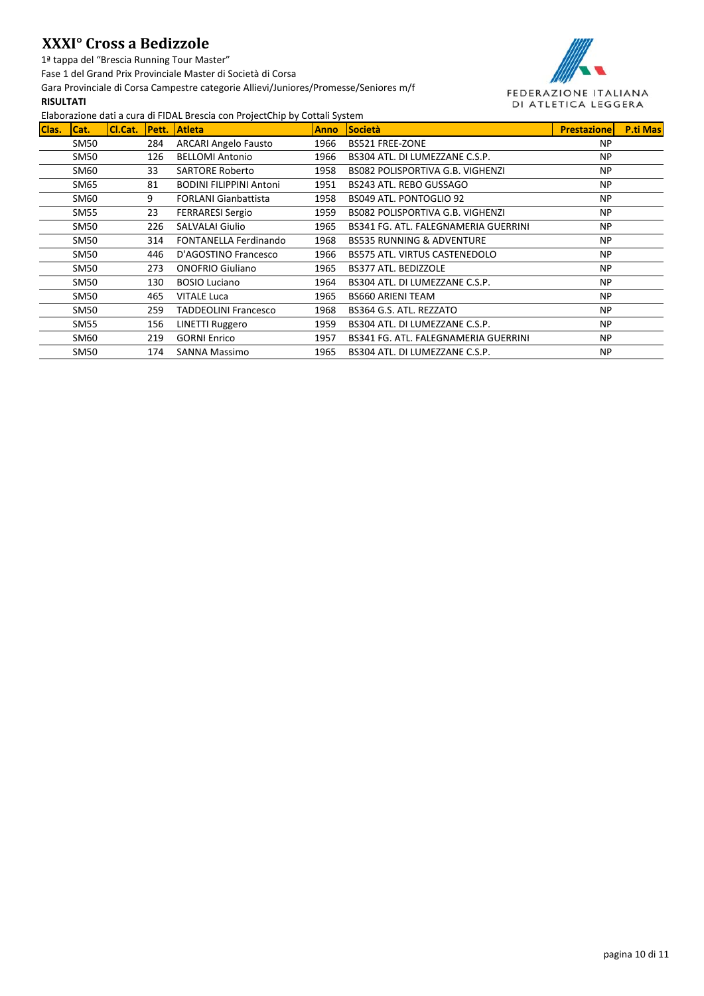1ª tappa del "Brescia Running Tour Master"

Fase 1 del Grand Prix Provinciale Master di Società di Corsa

Gara Provinciale di Corsa Campestre categorie Allievi/Juniores/Promesse/Seniores m/f

### **RISULTATI**



|       |             |         |               | LiaboraLione autra cara arribitL brescia com riojectomp by cottan bystem |             |                                      |                    |                 |
|-------|-------------|---------|---------------|--------------------------------------------------------------------------|-------------|--------------------------------------|--------------------|-----------------|
| Clas. | ICat.       | Cl.Cat. | <b>IPett.</b> | <b>Atleta</b>                                                            | <b>Anno</b> | <b>Società</b>                       | <b>Prestazione</b> | <b>P.ti Mas</b> |
|       | SM50        |         | 284           | <b>ARCARI Angelo Fausto</b>                                              | 1966        | BS521 FREE-ZONE                      | <b>NP</b>          |                 |
|       | SM50        |         | 126           | <b>BELLOMI Antonio</b>                                                   | 1966        | BS304 ATL. DI LUMEZZANE C.S.P.       | <b>NP</b>          |                 |
|       | SM60        |         | 33            | <b>SARTORE Roberto</b>                                                   | 1958        | BS082 POLISPORTIVA G.B. VIGHENZI     | <b>NP</b>          |                 |
|       | SM65        |         | 81            | <b>BODINI FILIPPINI Antoni</b>                                           | 1951        | BS243 ATL. REBO GUSSAGO              | <b>NP</b>          |                 |
|       | SM60        |         | 9             | <b>FORLANI Gianbattista</b>                                              | 1958        | BS049 ATL. PONTOGLIO 92              | <b>NP</b>          |                 |
|       | SM55        |         | 23            | <b>FERRARESI Sergio</b>                                                  | 1959        | BS082 POLISPORTIVA G.B. VIGHENZI     | <b>NP</b>          |                 |
|       | SM50        |         | 226           | <b>SALVALAI Giulio</b>                                                   | 1965        | BS341 FG. ATL. FALEGNAMERIA GUERRINI | <b>NP</b>          |                 |
|       | SM50        |         | 314           | <b>FONTANELLA Ferdinando</b>                                             | 1968        | <b>BS535 RUNNING &amp; ADVENTURE</b> | <b>NP</b>          |                 |
|       | SM50        |         | 446           | D'AGOSTINO Francesco                                                     | 1966        | BS575 ATL. VIRTUS CASTENEDOLO        | <b>NP</b>          |                 |
|       | SM50        |         | 273           | <b>ONOFRIO Giuliano</b>                                                  | 1965        | BS377 ATL. BEDIZZOLE                 | <b>NP</b>          |                 |
|       | <b>SM50</b> |         | 130           | <b>BOSIO Luciano</b>                                                     | 1964        | BS304 ATL. DI LUMEZZANE C.S.P.       | <b>NP</b>          |                 |
|       | SM50        |         | 465           | <b>VITALE Luca</b>                                                       | 1965        | <b>BS660 ARIENI TEAM</b>             | <b>NP</b>          |                 |
|       | SM50        |         | 259           | <b>TADDEOLINI Francesco</b>                                              | 1968        | BS364 G.S. ATL. REZZATO              | <b>NP</b>          |                 |
|       | <b>SM55</b> |         | 156           | LINETTI Ruggero                                                          | 1959        | BS304 ATL. DI LUMEZZANE C.S.P.       | <b>NP</b>          |                 |
|       | SM60        |         | 219           | <b>GORNI Enrico</b>                                                      | 1957        | BS341 FG. ATL. FALEGNAMERIA GUERRINI | <b>NP</b>          |                 |
|       | <b>SM50</b> |         | 174           | <b>SANNA Massimo</b>                                                     | 1965        | BS304 ATL. DI LUMEZZANE C.S.P.       | <b>NP</b>          |                 |
|       |             |         |               |                                                                          |             |                                      |                    |                 |